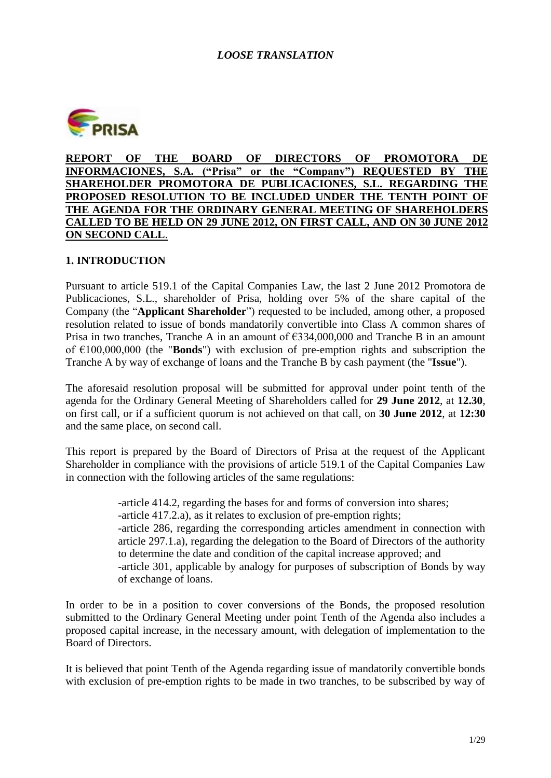

**REPORT OF THE BOARD OF DIRECTORS OF PROMOTORA DE INFORMACIONES, S.A. ("Prisa" or the "Company") REQUESTED BY THE SHAREHOLDER PROMOTORA DE PUBLICACIONES, S.L. REGARDING THE PROPOSED RESOLUTION TO BE INCLUDED UNDER THE TENTH POINT OF THE AGENDA FOR THE ORDINARY GENERAL MEETING OF SHAREHOLDERS CALLED TO BE HELD ON 29 JUNE 2012, ON FIRST CALL, AND ON 30 JUNE 2012 ON SECOND CALL**.

## **1. INTRODUCTION**

Pursuant to article 519.1 of the Capital Companies Law, the last 2 June 2012 Promotora de Publicaciones, S.L., shareholder of Prisa, holding over 5% of the share capital of the Company (the "**Applicant Shareholder**") requested to be included, among other, a proposed resolution related to issue of bonds mandatorily convertible into Class A common shares of Prisa in two tranches, Tranche A in an amount of  $\epsilon$ 334,000,000 and Tranche B in an amount of €100,000,000 (the "**Bonds**") with exclusion of pre-emption rights and subscription the Tranche A by way of exchange of loans and the Tranche B by cash payment (the "**Issue**").

The aforesaid resolution proposal will be submitted for approval under point tenth of the agenda for the Ordinary General Meeting of Shareholders called for **29 June 2012**, at **12.30**, on first call, or if a sufficient quorum is not achieved on that call, on **30 June 2012**, at **12:30** and the same place, on second call.

This report is prepared by the Board of Directors of Prisa at the request of the Applicant Shareholder in compliance with the provisions of article 519.1 of the Capital Companies Law in connection with the following articles of the same regulations:

> -article 414.2, regarding the bases for and forms of conversion into shares; -article 417.2.a), as it relates to exclusion of pre-emption rights; -article 286, regarding the corresponding articles amendment in connection with article 297.1.a), regarding the delegation to the Board of Directors of the authority to determine the date and condition of the capital increase approved; and -article 301, applicable by analogy for purposes of subscription of Bonds by way of exchange of loans.

In order to be in a position to cover conversions of the Bonds, the proposed resolution submitted to the Ordinary General Meeting under point Tenth of the Agenda also includes a proposed capital increase, in the necessary amount, with delegation of implementation to the Board of Directors.

It is believed that point Tenth of the Agenda regarding issue of mandatorily convertible bonds with exclusion of pre-emption rights to be made in two tranches, to be subscribed by way of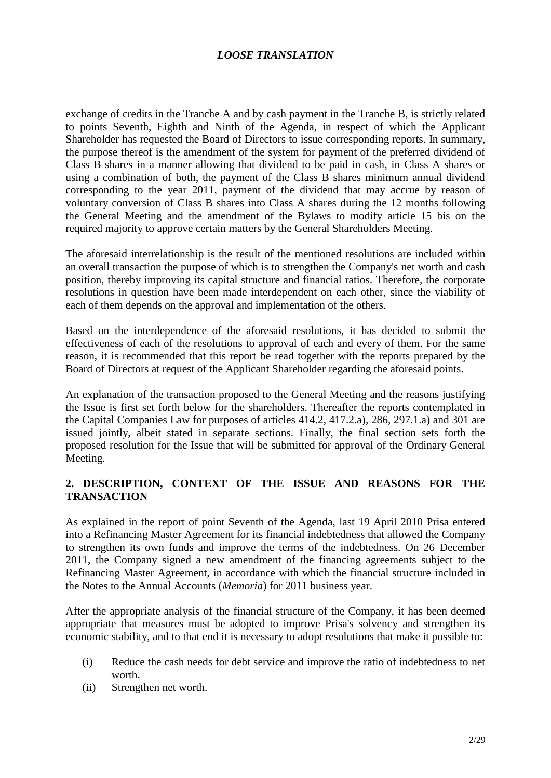exchange of credits in the Tranche A and by cash payment in the Tranche B, is strictly related to points Seventh, Eighth and Ninth of the Agenda, in respect of which the Applicant Shareholder has requested the Board of Directors to issue corresponding reports. In summary, the purpose thereof is the amendment of the system for payment of the preferred dividend of Class B shares in a manner allowing that dividend to be paid in cash, in Class A shares or using a combination of both, the payment of the Class B shares minimum annual dividend corresponding to the year 2011, payment of the dividend that may accrue by reason of voluntary conversion of Class B shares into Class A shares during the 12 months following the General Meeting and the amendment of the Bylaws to modify article 15 bis on the required majority to approve certain matters by the General Shareholders Meeting.

The aforesaid interrelationship is the result of the mentioned resolutions are included within an overall transaction the purpose of which is to strengthen the Company's net worth and cash position, thereby improving its capital structure and financial ratios. Therefore, the corporate resolutions in question have been made interdependent on each other, since the viability of each of them depends on the approval and implementation of the others.

Based on the interdependence of the aforesaid resolutions, it has decided to submit the effectiveness of each of the resolutions to approval of each and every of them. For the same reason, it is recommended that this report be read together with the reports prepared by the Board of Directors at request of the Applicant Shareholder regarding the aforesaid points.

An explanation of the transaction proposed to the General Meeting and the reasons justifying the Issue is first set forth below for the shareholders. Thereafter the reports contemplated in the Capital Companies Law for purposes of articles 414.2, 417.2.a), 286, 297.1.a) and 301 are issued jointly, albeit stated in separate sections. Finally, the final section sets forth the proposed resolution for the Issue that will be submitted for approval of the Ordinary General Meeting.

## **2. DESCRIPTION, CONTEXT OF THE ISSUE AND REASONS FOR THE TRANSACTION**

As explained in the report of point Seventh of the Agenda, last 19 April 2010 Prisa entered into a Refinancing Master Agreement for its financial indebtedness that allowed the Company to strengthen its own funds and improve the terms of the indebtedness. On 26 December 2011, the Company signed a new amendment of the financing agreements subject to the Refinancing Master Agreement, in accordance with which the financial structure included in the Notes to the Annual Accounts (*Memoria*) for 2011 business year.

After the appropriate analysis of the financial structure of the Company, it has been deemed appropriate that measures must be adopted to improve Prisa's solvency and strengthen its economic stability, and to that end it is necessary to adopt resolutions that make it possible to:

- (i) Reduce the cash needs for debt service and improve the ratio of indebtedness to net worth.
- (ii) Strengthen net worth.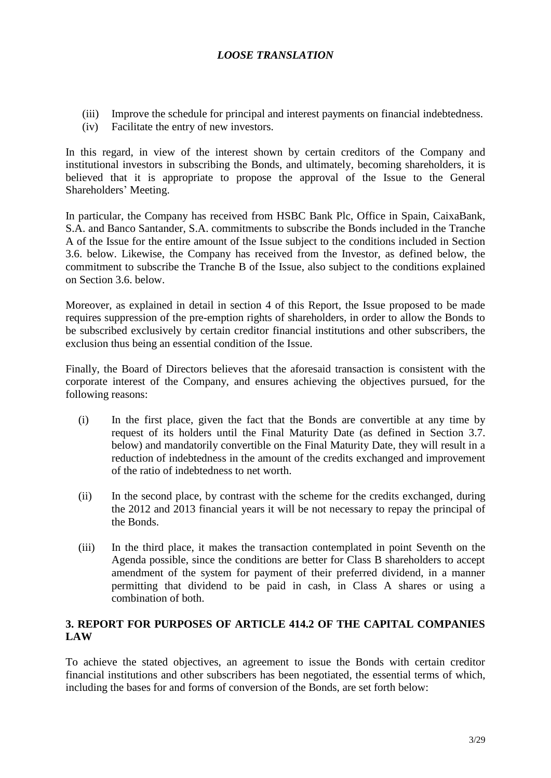- (iii) Improve the schedule for principal and interest payments on financial indebtedness.
- (iv) Facilitate the entry of new investors.

In this regard, in view of the interest shown by certain creditors of the Company and institutional investors in subscribing the Bonds, and ultimately, becoming shareholders, it is believed that it is appropriate to propose the approval of the Issue to the General Shareholders' Meeting.

In particular, the Company has received from HSBC Bank Plc, Office in Spain, CaixaBank, S.A. and Banco Santander, S.A. commitments to subscribe the Bonds included in the Tranche A of the Issue for the entire amount of the Issue subject to the conditions included in Section 3.6. below. Likewise, the Company has received from the Investor, as defined below, the commitment to subscribe the Tranche B of the Issue, also subject to the conditions explained on Section 3.6. below.

Moreover, as explained in detail in section 4 of this Report, the Issue proposed to be made requires suppression of the pre-emption rights of shareholders, in order to allow the Bonds to be subscribed exclusively by certain creditor financial institutions and other subscribers, the exclusion thus being an essential condition of the Issue.

Finally, the Board of Directors believes that the aforesaid transaction is consistent with the corporate interest of the Company, and ensures achieving the objectives pursued, for the following reasons:

- (i) In the first place, given the fact that the Bonds are convertible at any time by request of its holders until the Final Maturity Date (as defined in Section 3.7. below) and mandatorily convertible on the Final Maturity Date, they will result in a reduction of indebtedness in the amount of the credits exchanged and improvement of the ratio of indebtedness to net worth.
- (ii) In the second place, by contrast with the scheme for the credits exchanged, during the 2012 and 2013 financial years it will be not necessary to repay the principal of the Bonds.
- (iii) In the third place, it makes the transaction contemplated in point Seventh on the Agenda possible, since the conditions are better for Class B shareholders to accept amendment of the system for payment of their preferred dividend, in a manner permitting that dividend to be paid in cash, in Class A shares or using a combination of both.

## **3. REPORT FOR PURPOSES OF ARTICLE 414.2 OF THE CAPITAL COMPANIES LAW**

To achieve the stated objectives, an agreement to issue the Bonds with certain creditor financial institutions and other subscribers has been negotiated, the essential terms of which, including the bases for and forms of conversion of the Bonds, are set forth below: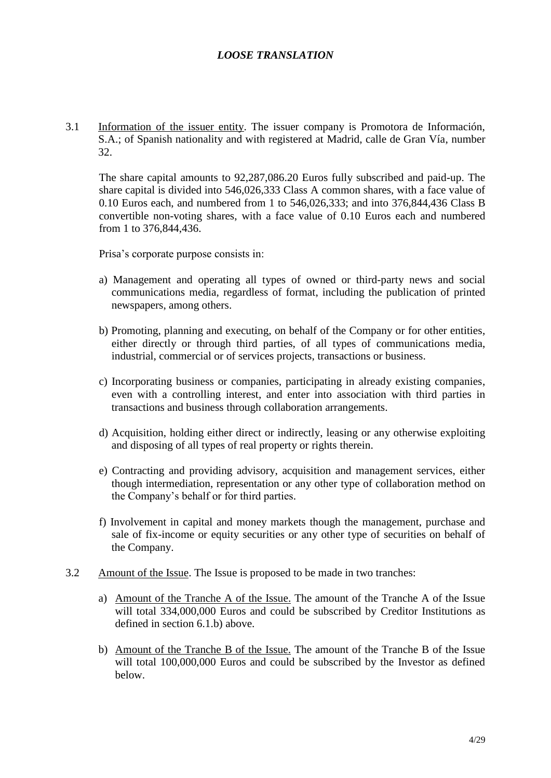3.1 Information of the issuer entity. The issuer company is Promotora de Información, S.A.; of Spanish nationality and with registered at Madrid, calle de Gran Vía, number 32.

The share capital amounts to 92,287,086.20 Euros fully subscribed and paid-up. The share capital is divided into 546,026,333 Class A common shares, with a face value of 0.10 Euros each, and numbered from 1 to 546,026,333; and into 376,844,436 Class B convertible non-voting shares, with a face value of 0.10 Euros each and numbered from 1 to 376,844,436.

Prisa's corporate purpose consists in:

- a) Management and operating all types of owned or third-party news and social communications media, regardless of format, including the publication of printed newspapers, among others.
- b) Promoting, planning and executing, on behalf of the Company or for other entities, either directly or through third parties, of all types of communications media, industrial, commercial or of services projects, transactions or business.
- c) Incorporating business or companies, participating in already existing companies, even with a controlling interest, and enter into association with third parties in transactions and business through collaboration arrangements.
- d) Acquisition, holding either direct or indirectly, leasing or any otherwise exploiting and disposing of all types of real property or rights therein.
- e) Contracting and providing advisory, acquisition and management services, either though intermediation, representation or any other type of collaboration method on the Company's behalf or for third parties.
- f) Involvement in capital and money markets though the management, purchase and sale of fix-income or equity securities or any other type of securities on behalf of the Company.
- 3.2 Amount of the Issue. The Issue is proposed to be made in two tranches:
	- a) Amount of the Tranche A of the Issue. The amount of the Tranche A of the Issue will total 334,000,000 Euros and could be subscribed by Creditor Institutions as defined in section 6.1.b) above.
	- b) Amount of the Tranche B of the Issue. The amount of the Tranche B of the Issue will total 100,000,000 Euros and could be subscribed by the Investor as defined below.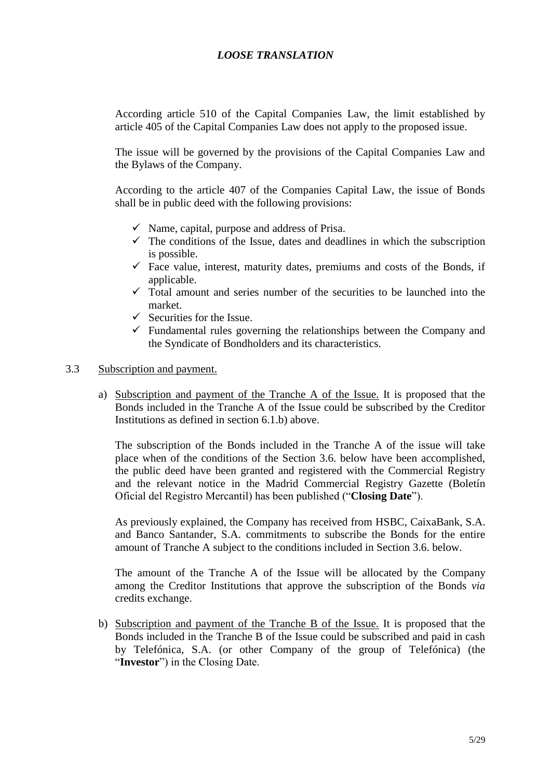According article 510 of the Capital Companies Law, the limit established by article 405 of the Capital Companies Law does not apply to the proposed issue.

The issue will be governed by the provisions of the Capital Companies Law and the Bylaws of the Company.

According to the article 407 of the Companies Capital Law, the issue of Bonds shall be in public deed with the following provisions:

- $\checkmark$  Name, capital, purpose and address of Prisa.
- $\checkmark$  The conditions of the Issue, dates and deadlines in which the subscription is possible.
- $\checkmark$  Face value, interest, maturity dates, premiums and costs of the Bonds, if applicable.
- $\checkmark$  Total amount and series number of the securities to be launched into the market.
- $\checkmark$  Securities for the Issue.
- $\checkmark$  Fundamental rules governing the relationships between the Company and the Syndicate of Bondholders and its characteristics.
- 3.3 Subscription and payment.
	- a) Subscription and payment of the Tranche A of the Issue. It is proposed that the Bonds included in the Tranche A of the Issue could be subscribed by the Creditor Institutions as defined in section 6.1.b) above.

The subscription of the Bonds included in the Tranche A of the issue will take place when of the conditions of the Section 3.6. below have been accomplished, the public deed have been granted and registered with the Commercial Registry and the relevant notice in the Madrid Commercial Registry Gazette (Boletín Oficial del Registro Mercantil) has been published ("**Closing Date**").

As previously explained, the Company has received from HSBC, CaixaBank, S.A. and Banco Santander, S.A. commitments to subscribe the Bonds for the entire amount of Tranche A subject to the conditions included in Section 3.6. below.

The amount of the Tranche A of the Issue will be allocated by the Company among the Creditor Institutions that approve the subscription of the Bonds *via* credits exchange.

b) Subscription and payment of the Tranche B of the Issue. It is proposed that the Bonds included in the Tranche B of the Issue could be subscribed and paid in cash by Telefónica, S.A. (or other Company of the group of Telefónica) (the "**Investor**") in the Closing Date.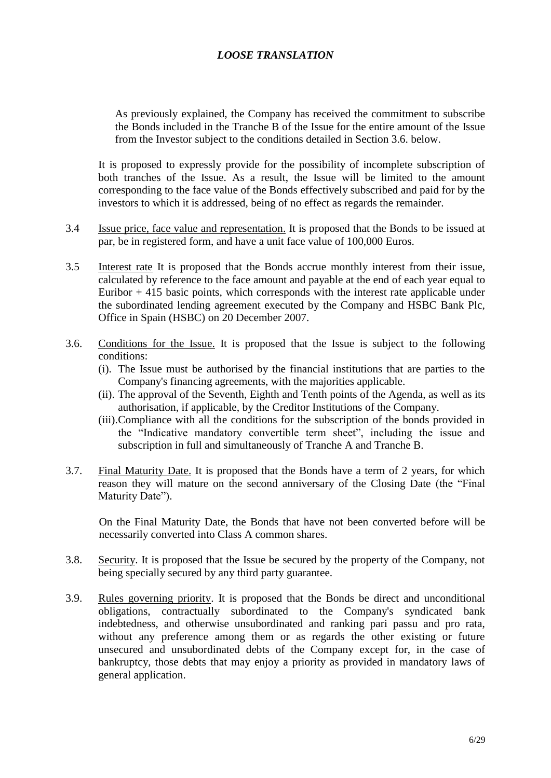As previously explained, the Company has received the commitment to subscribe the Bonds included in the Tranche B of the Issue for the entire amount of the Issue from the Investor subject to the conditions detailed in Section 3.6. below.

It is proposed to expressly provide for the possibility of incomplete subscription of both tranches of the Issue. As a result, the Issue will be limited to the amount corresponding to the face value of the Bonds effectively subscribed and paid for by the investors to which it is addressed, being of no effect as regards the remainder.

- 3.4 Issue price, face value and representation. It is proposed that the Bonds to be issued at par, be in registered form, and have a unit face value of 100,000 Euros.
- 3.5 Interest rate It is proposed that the Bonds accrue monthly interest from their issue, calculated by reference to the face amount and payable at the end of each year equal to Euribor  $+415$  basic points, which corresponds with the interest rate applicable under the subordinated lending agreement executed by the Company and HSBC Bank Plc, Office in Spain (HSBC) on 20 December 2007.
- 3.6. Conditions for the Issue. It is proposed that the Issue is subject to the following conditions:
	- (i). The Issue must be authorised by the financial institutions that are parties to the Company's financing agreements, with the majorities applicable.
	- (ii). The approval of the Seventh, Eighth and Tenth points of the Agenda, as well as its authorisation, if applicable, by the Creditor Institutions of the Company.
	- (iii).Compliance with all the conditions for the subscription of the bonds provided in the "Indicative mandatory convertible term sheet", including the issue and subscription in full and simultaneously of Tranche A and Tranche B.
- 3.7. Final Maturity Date. It is proposed that the Bonds have a term of 2 years, for which reason they will mature on the second anniversary of the Closing Date (the "Final Maturity Date").

On the Final Maturity Date, the Bonds that have not been converted before will be necessarily converted into Class A common shares.

- 3.8. Security. It is proposed that the Issue be secured by the property of the Company, not being specially secured by any third party guarantee.
- 3.9. Rules governing priority. It is proposed that the Bonds be direct and unconditional obligations, contractually subordinated to the Company's syndicated bank indebtedness, and otherwise unsubordinated and ranking pari passu and pro rata, without any preference among them or as regards the other existing or future unsecured and unsubordinated debts of the Company except for, in the case of bankruptcy, those debts that may enjoy a priority as provided in mandatory laws of general application.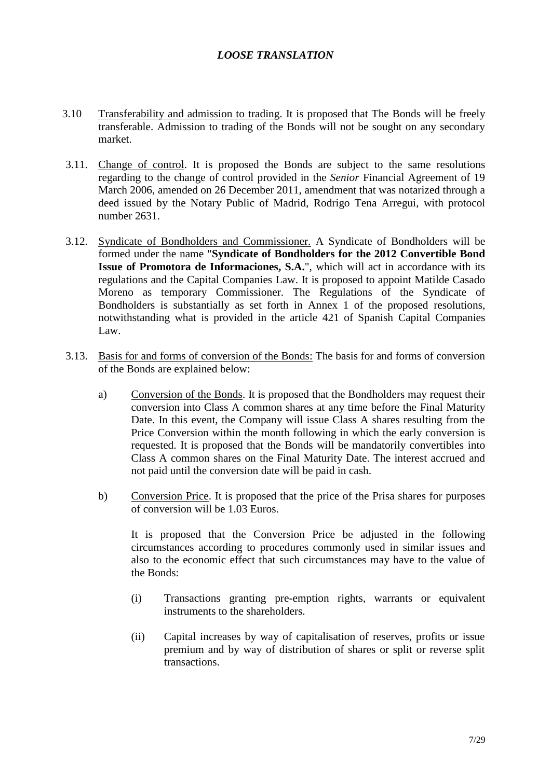- 3.10 Transferability and admission to trading. It is proposed that The Bonds will be freely transferable. Admission to trading of the Bonds will not be sought on any secondary market.
- 3.11. Change of control. It is proposed the Bonds are subject to the same resolutions regarding to the change of control provided in the *Senior* Financial Agreement of 19 March 2006, amended on 26 December 2011, amendment that was notarized through a deed issued by the Notary Public of Madrid, Rodrigo Tena Arregui, with protocol number 2631.
- 3.12. Syndicate of Bondholders and Commissioner. A Syndicate of Bondholders will be formed under the name "**Syndicate of Bondholders for the 2012 Convertible Bond Issue of Promotora de Informaciones, S.A.**", which will act in accordance with its regulations and the Capital Companies Law. It is proposed to appoint Matilde Casado Moreno as temporary Commissioner. The Regulations of the Syndicate of Bondholders is substantially as set forth in Annex 1 of the proposed resolutions, notwithstanding what is provided in the article 421 of Spanish Capital Companies Law.
- 3.13. Basis for and forms of conversion of the Bonds: The basis for and forms of conversion of the Bonds are explained below:
	- a) Conversion of the Bonds. It is proposed that the Bondholders may request their conversion into Class A common shares at any time before the Final Maturity Date. In this event, the Company will issue Class A shares resulting from the Price Conversion within the month following in which the early conversion is requested. It is proposed that the Bonds will be mandatorily convertibles into Class A common shares on the Final Maturity Date. The interest accrued and not paid until the conversion date will be paid in cash.
	- b) Conversion Price. It is proposed that the price of the Prisa shares for purposes of conversion will be 1.03 Euros.

It is proposed that the Conversion Price be adjusted in the following circumstances according to procedures commonly used in similar issues and also to the economic effect that such circumstances may have to the value of the Bonds:

- (i) Transactions granting pre-emption rights, warrants or equivalent instruments to the shareholders.
- (ii) Capital increases by way of capitalisation of reserves, profits or issue premium and by way of distribution of shares or split or reverse split transactions.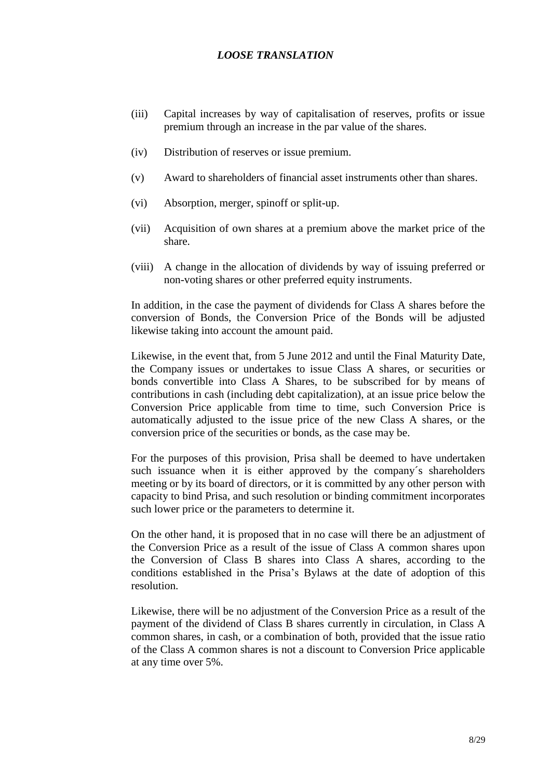- (iii) Capital increases by way of capitalisation of reserves, profits or issue premium through an increase in the par value of the shares.
- (iv) Distribution of reserves or issue premium.
- (v) Award to shareholders of financial asset instruments other than shares.
- (vi) Absorption, merger, spinoff or split-up.
- (vii) Acquisition of own shares at a premium above the market price of the share.
- (viii) A change in the allocation of dividends by way of issuing preferred or non-voting shares or other preferred equity instruments.

In addition, in the case the payment of dividends for Class A shares before the conversion of Bonds, the Conversion Price of the Bonds will be adjusted likewise taking into account the amount paid.

Likewise, in the event that, from 5 June 2012 and until the Final Maturity Date, the Company issues or undertakes to issue Class A shares, or securities or bonds convertible into Class A Shares, to be subscribed for by means of contributions in cash (including debt capitalization), at an issue price below the Conversion Price applicable from time to time, such Conversion Price is automatically adjusted to the issue price of the new Class A shares, or the conversion price of the securities or bonds, as the case may be.

For the purposes of this provision, Prisa shall be deemed to have undertaken such issuance when it is either approved by the company´s shareholders meeting or by its board of directors, or it is committed by any other person with capacity to bind Prisa, and such resolution or binding commitment incorporates such lower price or the parameters to determine it.

On the other hand, it is proposed that in no case will there be an adjustment of the Conversion Price as a result of the issue of Class A common shares upon the Conversion of Class B shares into Class A shares, according to the conditions established in the Prisa's Bylaws at the date of adoption of this resolution.

Likewise, there will be no adjustment of the Conversion Price as a result of the payment of the dividend of Class B shares currently in circulation, in Class A common shares, in cash, or a combination of both, provided that the issue ratio of the Class A common shares is not a discount to Conversion Price applicable at any time over 5%.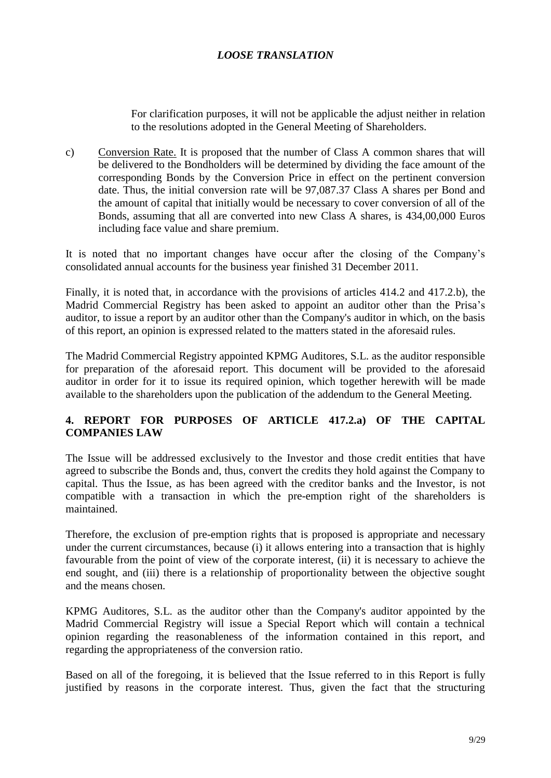For clarification purposes, it will not be applicable the adjust neither in relation to the resolutions adopted in the General Meeting of Shareholders.

c) Conversion Rate. It is proposed that the number of Class A common shares that will be delivered to the Bondholders will be determined by dividing the face amount of the corresponding Bonds by the Conversion Price in effect on the pertinent conversion date. Thus, the initial conversion rate will be 97,087.37 Class A shares per Bond and the amount of capital that initially would be necessary to cover conversion of all of the Bonds, assuming that all are converted into new Class A shares, is 434,00,000 Euros including face value and share premium.

It is noted that no important changes have occur after the closing of the Company's consolidated annual accounts for the business year finished 31 December 2011.

Finally, it is noted that, in accordance with the provisions of articles 414.2 and 417.2.b), the Madrid Commercial Registry has been asked to appoint an auditor other than the Prisa's auditor, to issue a report by an auditor other than the Company's auditor in which, on the basis of this report, an opinion is expressed related to the matters stated in the aforesaid rules.

The Madrid Commercial Registry appointed KPMG Auditores, S.L. as the auditor responsible for preparation of the aforesaid report. This document will be provided to the aforesaid auditor in order for it to issue its required opinion, which together herewith will be made available to the shareholders upon the publication of the addendum to the General Meeting.

## **4. REPORT FOR PURPOSES OF ARTICLE 417.2.a) OF THE CAPITAL COMPANIES LAW**

The Issue will be addressed exclusively to the Investor and those credit entities that have agreed to subscribe the Bonds and, thus, convert the credits they hold against the Company to capital. Thus the Issue, as has been agreed with the creditor banks and the Investor, is not compatible with a transaction in which the pre-emption right of the shareholders is maintained.

Therefore, the exclusion of pre-emption rights that is proposed is appropriate and necessary under the current circumstances, because (i) it allows entering into a transaction that is highly favourable from the point of view of the corporate interest, (ii) it is necessary to achieve the end sought, and (iii) there is a relationship of proportionality between the objective sought and the means chosen.

KPMG Auditores, S.L. as the auditor other than the Company's auditor appointed by the Madrid Commercial Registry will issue a Special Report which will contain a technical opinion regarding the reasonableness of the information contained in this report, and regarding the appropriateness of the conversion ratio.

Based on all of the foregoing, it is believed that the Issue referred to in this Report is fully justified by reasons in the corporate interest. Thus, given the fact that the structuring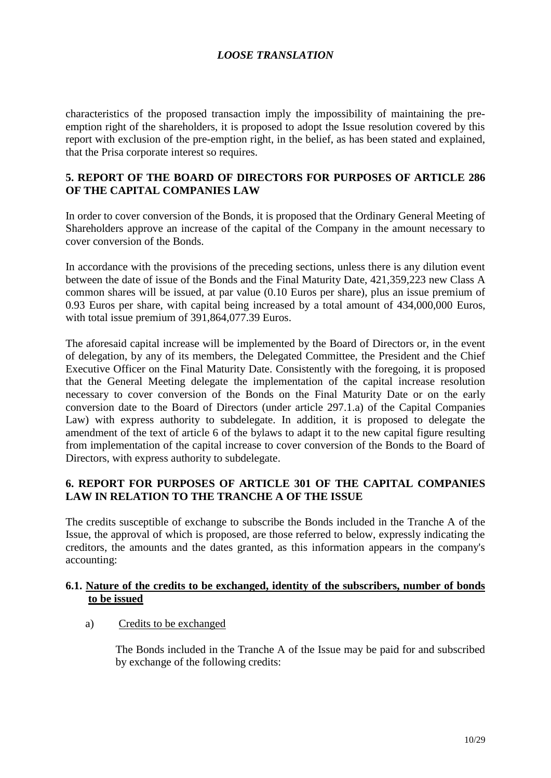characteristics of the proposed transaction imply the impossibility of maintaining the preemption right of the shareholders, it is proposed to adopt the Issue resolution covered by this report with exclusion of the pre-emption right, in the belief, as has been stated and explained, that the Prisa corporate interest so requires.

#### **5. REPORT OF THE BOARD OF DIRECTORS FOR PURPOSES OF ARTICLE 286 OF THE CAPITAL COMPANIES LAW**

In order to cover conversion of the Bonds, it is proposed that the Ordinary General Meeting of Shareholders approve an increase of the capital of the Company in the amount necessary to cover conversion of the Bonds.

In accordance with the provisions of the preceding sections, unless there is any dilution event between the date of issue of the Bonds and the Final Maturity Date, 421,359,223 new Class A common shares will be issued, at par value (0.10 Euros per share), plus an issue premium of 0.93 Euros per share, with capital being increased by a total amount of 434,000,000 Euros, with total issue premium of 391,864,077.39 Euros.

The aforesaid capital increase will be implemented by the Board of Directors or, in the event of delegation, by any of its members, the Delegated Committee, the President and the Chief Executive Officer on the Final Maturity Date. Consistently with the foregoing, it is proposed that the General Meeting delegate the implementation of the capital increase resolution necessary to cover conversion of the Bonds on the Final Maturity Date or on the early conversion date to the Board of Directors (under article 297.1.a) of the Capital Companies Law) with express authority to subdelegate. In addition, it is proposed to delegate the amendment of the text of article 6 of the bylaws to adapt it to the new capital figure resulting from implementation of the capital increase to cover conversion of the Bonds to the Board of Directors, with express authority to subdelegate.

## **6. REPORT FOR PURPOSES OF ARTICLE 301 OF THE CAPITAL COMPANIES LAW IN RELATION TO THE TRANCHE A OF THE ISSUE**

The credits susceptible of exchange to subscribe the Bonds included in the Tranche A of the Issue, the approval of which is proposed, are those referred to below, expressly indicating the creditors, the amounts and the dates granted, as this information appears in the company's accounting:

#### **6.1. Nature of the credits to be exchanged, identity of the subscribers, number of bonds to be issued**

a) Credits to be exchanged

The Bonds included in the Tranche A of the Issue may be paid for and subscribed by exchange of the following credits: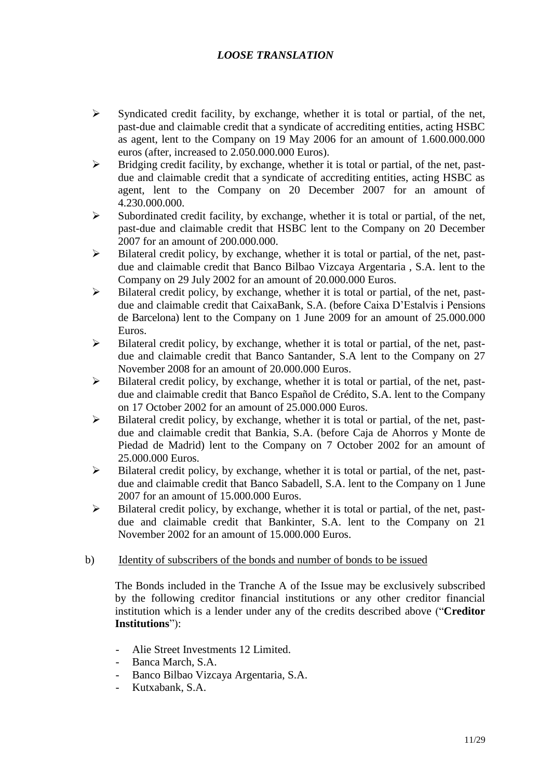- $\triangleright$  Syndicated credit facility, by exchange, whether it is total or partial, of the net, past-due and claimable credit that a syndicate of accrediting entities, acting HSBC as agent, lent to the Company on 19 May 2006 for an amount of 1.600.000.000 euros (after, increased to 2.050.000.000 Euros).
- $\triangleright$  Bridging credit facility, by exchange, whether it is total or partial, of the net, pastdue and claimable credit that a syndicate of accrediting entities, acting HSBC as agent, lent to the Company on 20 December 2007 for an amount of 4.230.000.000.
- $\triangleright$  Subordinated credit facility, by exchange, whether it is total or partial, of the net, past-due and claimable credit that HSBC lent to the Company on 20 December 2007 for an amount of 200.000.000.
- $\triangleright$  Bilateral credit policy, by exchange, whether it is total or partial, of the net, pastdue and claimable credit that Banco Bilbao Vizcaya Argentaria , S.A. lent to the Company on 29 July 2002 for an amount of 20.000.000 Euros.
- $\triangleright$  Bilateral credit policy, by exchange, whether it is total or partial, of the net, pastdue and claimable credit that CaixaBank, S.A. (before Caixa D'Estalvis i Pensions de Barcelona) lent to the Company on 1 June 2009 for an amount of 25.000.000 Euros.
- $\triangleright$  Bilateral credit policy, by exchange, whether it is total or partial, of the net, pastdue and claimable credit that Banco Santander, S.A lent to the Company on 27 November 2008 for an amount of 20.000.000 Euros.
- $\triangleright$  Bilateral credit policy, by exchange, whether it is total or partial, of the net, pastdue and claimable credit that Banco Español de Crédito, S.A. lent to the Company on 17 October 2002 for an amount of 25.000.000 Euros.
- $\triangleright$  Bilateral credit policy, by exchange, whether it is total or partial, of the net, pastdue and claimable credit that Bankia, S.A. (before Caja de Ahorros y Monte de Piedad de Madrid) lent to the Company on 7 October 2002 for an amount of 25.000.000 Euros.
- $\triangleright$  Bilateral credit policy, by exchange, whether it is total or partial, of the net, pastdue and claimable credit that Banco Sabadell, S.A. lent to the Company on 1 June 2007 for an amount of 15.000.000 Euros.
- $\triangleright$  Bilateral credit policy, by exchange, whether it is total or partial, of the net, pastdue and claimable credit that Bankinter, S.A. lent to the Company on 21 November 2002 for an amount of 15.000.000 Euros.

#### b) Identity of subscribers of the bonds and number of bonds to be issued

The Bonds included in the Tranche A of the Issue may be exclusively subscribed by the following creditor financial institutions or any other creditor financial institution which is a lender under any of the credits described above ("**Creditor Institutions**"):

- Alie Street Investments 12 Limited.
- Banca March, S.A.
- Banco Bilbao Vizcaya Argentaria, S.A.
- Kutxabank, S.A.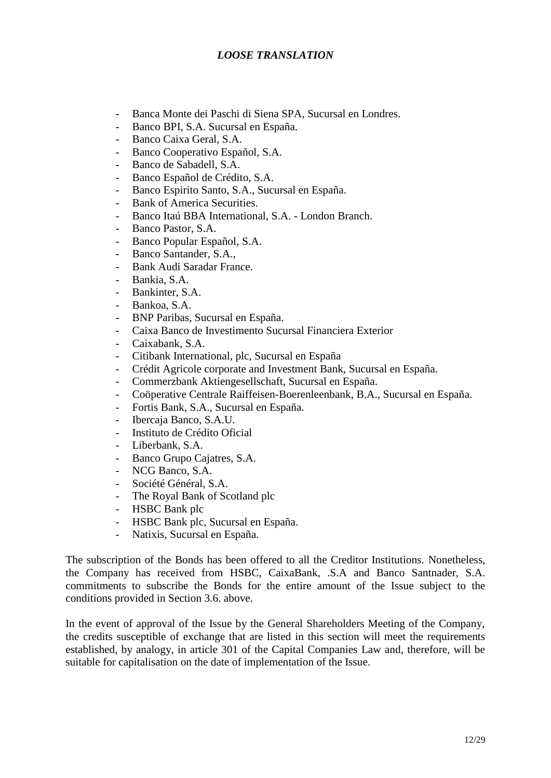- Banca Monte dei Paschi di Siena SPA, Sucursal en Londres.
- Banco BPI, S.A. Sucursal en España.
- Banco Caixa Geral, S.A.
- Banco Cooperativo Español, S.A.
- Banco de Sabadell, S.A.
- Banco Español de Crédito, S.A.
- Banco Espirito Santo, S.A., Sucursal en España.
- Bank of America Securities.
- Banco Itaú BBA International, S.A. London Branch.
- Banco Pastor, S.A.
- Banco Popular Español, S.A.
- Banco Santander, S.A.,
- Bank Audi Saradar France.
- Bankia, S.A.
- Bankinter, S.A.
- Bankoa, S.A.
- BNP Paribas, Sucursal en España.
- Caixa Banco de Investimento Sucursal Financiera Exterior
- Caixabank, S.A.
- Citibank International, plc, Sucursal en España
- Crédit Agricole corporate and Investment Bank, Sucursal en España.
- Commerzbank Aktiengesellschaft, Sucursal en España.
- Coöperative Centrale Raiffeisen-Boerenleenbank, B.A., Sucursal en España.
- Fortis Bank, S.A., Sucursal en España.
- Ibercaja Banco, S.A.U.
- Instituto de Crédito Oficial
- Liberbank, S.A.
- Banco Grupo Cajatres, S.A.
- NCG Banco, S.A.
- Société Général, S.A.
- The Royal Bank of Scotland plc
- HSBC Bank plc
- HSBC Bank plc, Sucursal en España.
- Natixis, Sucursal en España.

The subscription of the Bonds has been offered to all the Creditor Institutions. Nonetheless, the Company has received from HSBC, CaixaBank, .S.A and Banco Santnader, S.A. commitments to subscribe the Bonds for the entire amount of the Issue subject to the conditions provided in Section 3.6. above.

In the event of approval of the Issue by the General Shareholders Meeting of the Company, the credits susceptible of exchange that are listed in this section will meet the requirements established, by analogy, in article 301 of the Capital Companies Law and, therefore, will be suitable for capitalisation on the date of implementation of the Issue.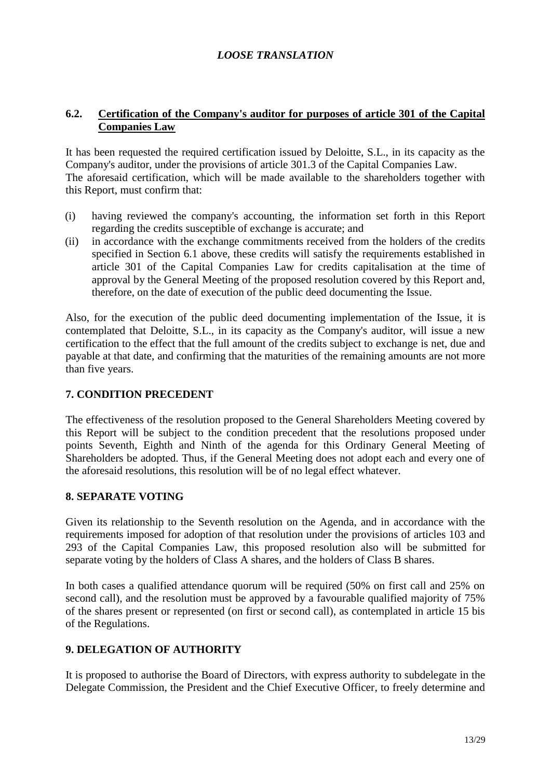#### **6.2. Certification of the Company's auditor for purposes of article 301 of the Capital Companies Law**

It has been requested the required certification issued by Deloitte, S.L., in its capacity as the Company's auditor, under the provisions of article 301.3 of the Capital Companies Law. The aforesaid certification, which will be made available to the shareholders together with this Report, must confirm that:

- (i) having reviewed the company's accounting, the information set forth in this Report regarding the credits susceptible of exchange is accurate; and
- (ii) in accordance with the exchange commitments received from the holders of the credits specified in Section 6.1 above, these credits will satisfy the requirements established in article 301 of the Capital Companies Law for credits capitalisation at the time of approval by the General Meeting of the proposed resolution covered by this Report and, therefore, on the date of execution of the public deed documenting the Issue.

Also, for the execution of the public deed documenting implementation of the Issue, it is contemplated that Deloitte, S.L., in its capacity as the Company's auditor, will issue a new certification to the effect that the full amount of the credits subject to exchange is net, due and payable at that date, and confirming that the maturities of the remaining amounts are not more than five years.

#### **7. CONDITION PRECEDENT**

The effectiveness of the resolution proposed to the General Shareholders Meeting covered by this Report will be subject to the condition precedent that the resolutions proposed under points Seventh, Eighth and Ninth of the agenda for this Ordinary General Meeting of Shareholders be adopted. Thus, if the General Meeting does not adopt each and every one of the aforesaid resolutions, this resolution will be of no legal effect whatever.

#### **8. SEPARATE VOTING**

Given its relationship to the Seventh resolution on the Agenda, and in accordance with the requirements imposed for adoption of that resolution under the provisions of articles 103 and 293 of the Capital Companies Law, this proposed resolution also will be submitted for separate voting by the holders of Class A shares, and the holders of Class B shares.

In both cases a qualified attendance quorum will be required (50% on first call and 25% on second call), and the resolution must be approved by a favourable qualified majority of 75% of the shares present or represented (on first or second call), as contemplated in article 15 bis of the Regulations.

## **9. DELEGATION OF AUTHORITY**

It is proposed to authorise the Board of Directors, with express authority to subdelegate in the Delegate Commission, the President and the Chief Executive Officer, to freely determine and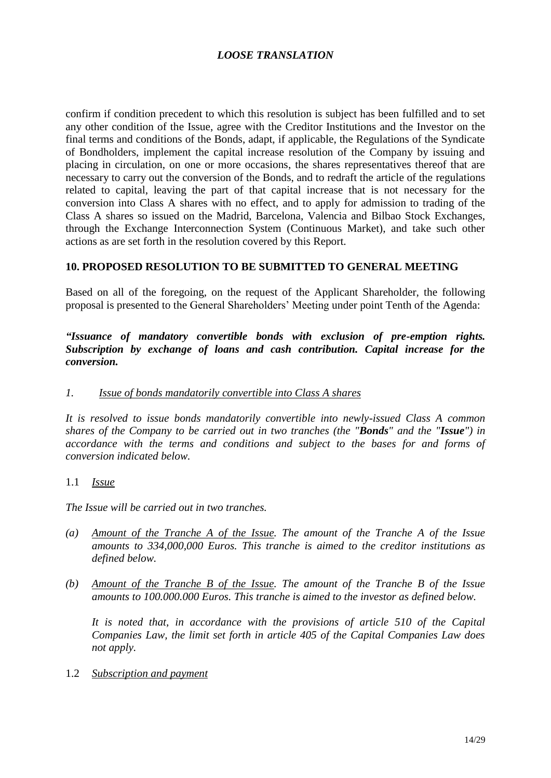confirm if condition precedent to which this resolution is subject has been fulfilled and to set any other condition of the Issue, agree with the Creditor Institutions and the Investor on the final terms and conditions of the Bonds, adapt, if applicable, the Regulations of the Syndicate of Bondholders, implement the capital increase resolution of the Company by issuing and placing in circulation, on one or more occasions, the shares representatives thereof that are necessary to carry out the conversion of the Bonds, and to redraft the article of the regulations related to capital, leaving the part of that capital increase that is not necessary for the conversion into Class A shares with no effect, and to apply for admission to trading of the Class A shares so issued on the Madrid, Barcelona, Valencia and Bilbao Stock Exchanges, through the Exchange Interconnection System (Continuous Market), and take such other actions as are set forth in the resolution covered by this Report.

#### **10. PROPOSED RESOLUTION TO BE SUBMITTED TO GENERAL MEETING**

Based on all of the foregoing, on the request of the Applicant Shareholder, the following proposal is presented to the General Shareholders' Meeting under point Tenth of the Agenda:

*"Issuance of mandatory convertible bonds with exclusion of pre-emption rights. Subscription by exchange of loans and cash contribution. Capital increase for the conversion.*

#### *1. Issue of bonds mandatorily convertible into Class A shares*

*It is resolved to issue bonds mandatorily convertible into newly-issued Class A common shares of the Company to be carried out in two tranches (the "Bonds" and the "Issue") in accordance with the terms and conditions and subject to the bases for and forms of conversion indicated below.*

#### 1.1 *Issue*

*The Issue will be carried out in two tranches.*

- *(a) Amount of the Tranche A of the Issue. The amount of the Tranche A of the Issue amounts to 334,000,000 Euros. This tranche is aimed to the creditor institutions as defined below.*
- *(b) Amount of the Tranche B of the Issue. The amount of the Tranche B of the Issue amounts to 100.000.000 Euros. This tranche is aimed to the investor as defined below.*

*It is noted that, in accordance with the provisions of article 510 of the Capital Companies Law, the limit set forth in article 405 of the Capital Companies Law does not apply.*

1.2 *Subscription and payment*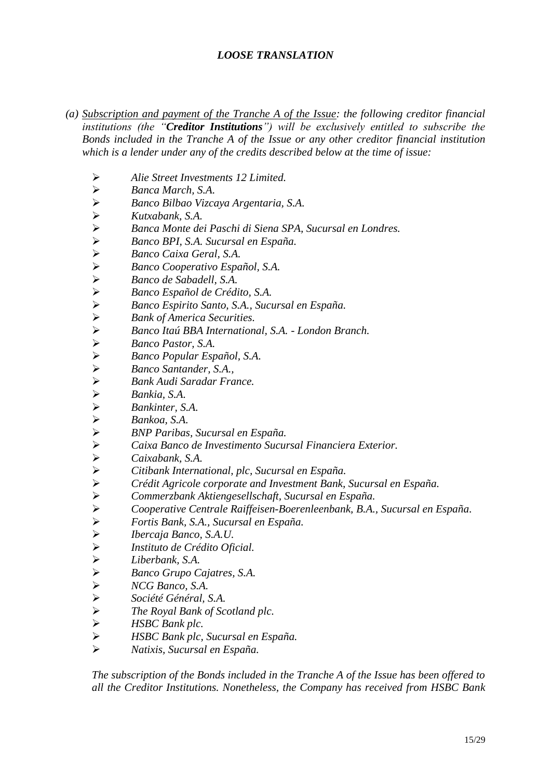- *(a) Subscription and payment of the Tranche A of the Issue: the following creditor financial institutions (the "Creditor Institutions") will be exclusively entitled to subscribe the Bonds included in the Tranche A of the Issue or any other creditor financial institution which is a lender under any of the credits described below at the time of issue:*
	- *Alie Street Investments 12 Limited.*
	- *Banca March, S.A.*
	- *Banco Bilbao Vizcaya Argentaria, S.A.*
	-
	- *Kutxabank, S.A.*<br> *Kutxabank, S.A.*<br> *Banco BPI, S.A.*<br> *Banco Caixa Ge*<br> *Banco Cooperat*<br> *Ranco Le Sabad*<br> *Ranco Español*<br> *Ranco Espirito S*<br> *Ranco Espirito S*<br> *Ranco Espirito S*<br> *Ranco Espirito S*<br> *Ranco Espiri Banca Monte dei Paschi di Siena SPA, Sucursal en Londres.*
	- *Banco BPI, S.A. Sucursal en España.*
	- *Banco Caixa Geral, S.A.*
	- *Banco Cooperativo Español, S.A.*
	- *Banco de Sabadell, S.A.*
	- *Banco Español de Crédito, S.A.*
	- *Banco Espirito Santo, S.A., Sucursal en España.*
	- *Bank of America Securities.*
	-
	- *Banco Pastor, S.A.*
	- *Banco Popular Español, S.A.*
	- *Banco Santander, S.A.,*
	- *Bank Audi Saradar France.*
	- *Bankia, S.A.*
	- *Bankinter, S.A.*
	- *Bankoa, S.A.*
	- *BNP Paribas, Sucursal en España.*
	- *Caixa Banco de Investimento Sucursal Financiera Exterior.*
	- *Caixabank, S.A.*
	- *Citibank International, plc, Sucursal en España.*
	- *Crédit Agricole corporate and Investment Bank, Sucursal en España.*
	- *Banco Itaú BBA International, S.A. London Branch*<br> *Banco Pastor, S.A.*<br> *Banco Santander, S.A.*<br> *Bank Audi Saradar France.*<br> *Bankia, S.A.*<br> **Bankia, S.A.**<br> **Bankia, S.A.**<br> **Bankia, S.A.**<br> **BANCE** *Bankia, S.A.*<br> **BA** *Commerzbank Aktiengesellschaft, Sucursal en España.*
	- *Cooperative Centrale Raiffeisen-Boerenleenbank, B.A., Sucursal en España.*
	- *Fortis Bank, S.A., Sucursal en España.*
	- *Ibercaja Banco, S.A.U.*
	- *Instituto de Crédito Oficial.*
	- *Liberbank, S.A.*
	- *Banco Grupo Cajatres, S.A.*
	- *NCG Banco, S.A.*
	- *Société Général, S.A.*
	- *The Royal Bank of Scotland plc.*
	- *HSBC Bank plc.*
	- *HSBC Bank plc, Sucursal en España.*
	- *Natixis, Sucursal en España.*

*The subscription of the Bonds included in the Tranche A of the Issue has been offered to all the Creditor Institutions. Nonetheless, the Company has received from HSBC Bank*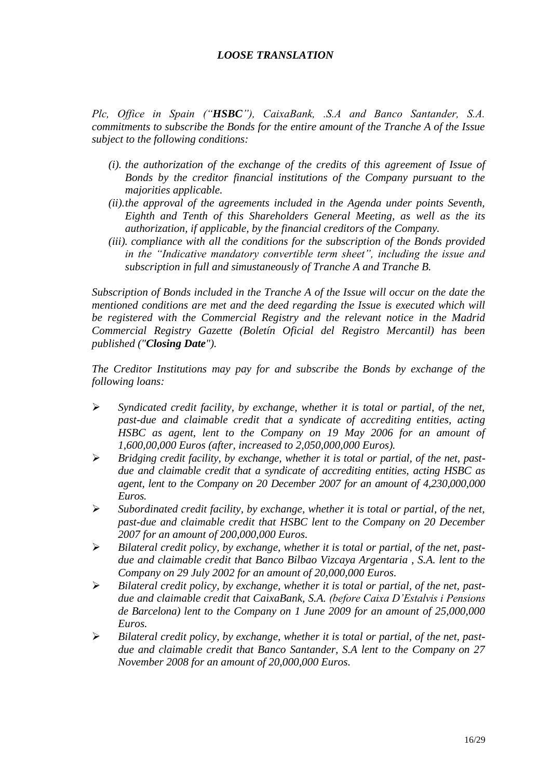*Plc, Office in Spain ("HSBC"), CaixaBank, .S.A and Banco Santander, S.A. commitments to subscribe the Bonds for the entire amount of the Tranche A of the Issue subject to the following conditions:*

- *(i). the authorization of the exchange of the credits of this agreement of Issue of Bonds by the creditor financial institutions of the Company pursuant to the majorities applicable.*
- *(ii).the approval of the agreements included in the Agenda under points Seventh, Eighth and Tenth of this Shareholders General Meeting, as well as the its authorization, if applicable, by the financial creditors of the Company.*
- *(iii). compliance with all the conditions for the subscription of the Bonds provided in the "Indicative mandatory convertible term sheet", including the issue and subscription in full and simustaneously of Tranche A and Tranche B.*

*Subscription of Bonds included in the Tranche A of the Issue will occur on the date the mentioned conditions are met and the deed regarding the Issue is executed which will be registered with the Commercial Registry and the relevant notice in the Madrid Commercial Registry Gazette (Boletín Oficial del Registro Mercantil) has been published ("Closing Date").*

*The Creditor Institutions may pay for and subscribe the Bonds by exchange of the following loans:* 

- *Syndicated credit facility, by exchange, whether it is total or partial, of the net, past-due and claimable credit that a syndicate of accrediting entities, acting HSBC as agent, lent to the Company on 19 May 2006 for an amount of 1,600,00,000 Euros (after, increased to 2,050,000,000 Euros).*
- *Bridging credit facility, by exchange, whether it is total or partial, of the net, pastdue and claimable credit that a syndicate of accrediting entities, acting HSBC as agent, lent to the Company on 20 December 2007 for an amount of 4,230,000,000 Euros.*
- *Subordinated credit facility, by exchange, whether it is total or partial, of the net, past-due and claimable credit that HSBC lent to the Company on 20 December 2007 for an amount of 200,000,000 Euros.*
- *Bilateral credit policy, by exchange, whether it is total or partial, of the net, pastdue and claimable credit that Banco Bilbao Vizcaya Argentaria , S.A. lent to the Company on 29 July 2002 for an amount of 20,000,000 Euros.*
- *Bilateral credit policy, by exchange, whether it is total or partial, of the net, pastdue and claimable credit that CaixaBank, S.A. (before Caixa D'Estalvis i Pensions de Barcelona) lent to the Company on 1 June 2009 for an amount of 25,000,000 Euros.*
- *Bilateral credit policy, by exchange, whether it is total or partial, of the net, pastdue and claimable credit that Banco Santander, S.A lent to the Company on 27 November 2008 for an amount of 20,000,000 Euros.*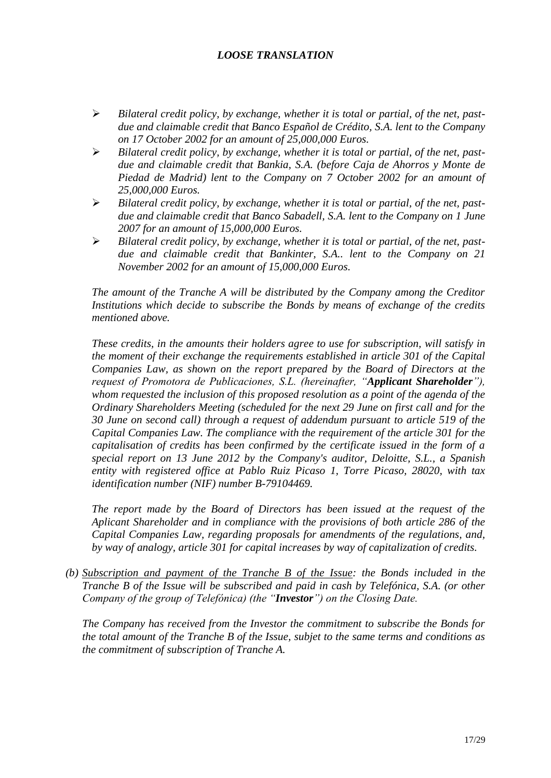- *Bilateral credit policy, by exchange, whether it is total or partial, of the net, pastdue and claimable credit that Banco Español de Crédito, S.A. lent to the Company on 17 October 2002 for an amount of 25,000,000 Euros.*
- *Bilateral credit policy, by exchange, whether it is total or partial, of the net, pastdue and claimable credit that Bankia, S.A. (before Caja de Ahorros y Monte de Piedad de Madrid) lent to the Company on 7 October 2002 for an amount of 25,000,000 Euros.*
- *Bilateral credit policy, by exchange, whether it is total or partial, of the net, pastdue and claimable credit that Banco Sabadell, S.A. lent to the Company on 1 June 2007 for an amount of 15,000,000 Euros.*
- *Bilateral credit policy, by exchange, whether it is total or partial, of the net, pastdue and claimable credit that Bankinter, S.A.. lent to the Company on 21 November 2002 for an amount of 15,000,000 Euros.*

*The amount of the Tranche A will be distributed by the Company among the Creditor Institutions which decide to subscribe the Bonds by means of exchange of the credits mentioned above.* 

*These credits, in the amounts their holders agree to use for subscription, will satisfy in the moment of their exchange the requirements established in article 301 of the Capital Companies Law, as shown on the report prepared by the Board of Directors at the request of Promotora de Publicaciones, S.L. (hereinafter, "Applicant Shareholder"), whom requested the inclusion of this proposed resolution as a point of the agenda of the Ordinary Shareholders Meeting (scheduled for the next 29 June on first call and for the 30 June on second call) through a request of addendum pursuant to article 519 of the Capital Companies Law. The compliance with the requirement of the article 301 for the capitalisation of credits has been confirmed by the certificate issued in the form of a special report on 13 June 2012 by the Company's auditor, Deloitte, S.L., a Spanish entity with registered office at Pablo Ruiz Picaso 1, Torre Picaso, 28020, with tax identification number (NIF) number B-79104469.*

*The report made by the Board of Directors has been issued at the request of the Aplicant Shareholder and in compliance with the provisions of both article 286 of the Capital Companies Law, regarding proposals for amendments of the regulations, and, by way of analogy, article 301 for capital increases by way of capitalization of credits.*

*(b) Subscription and payment of the Tranche B of the Issue: the Bonds included in the Tranche B of the Issue will be subscribed and paid in cash by Telefónica, S.A. (or other Company of the group of Telefónica) (the "Investor") on the Closing Date.*

*The Company has received from the Investor the commitment to subscribe the Bonds for the total amount of the Tranche B of the Issue, subjet to the same terms and conditions as the commitment of subscription of Tranche A.*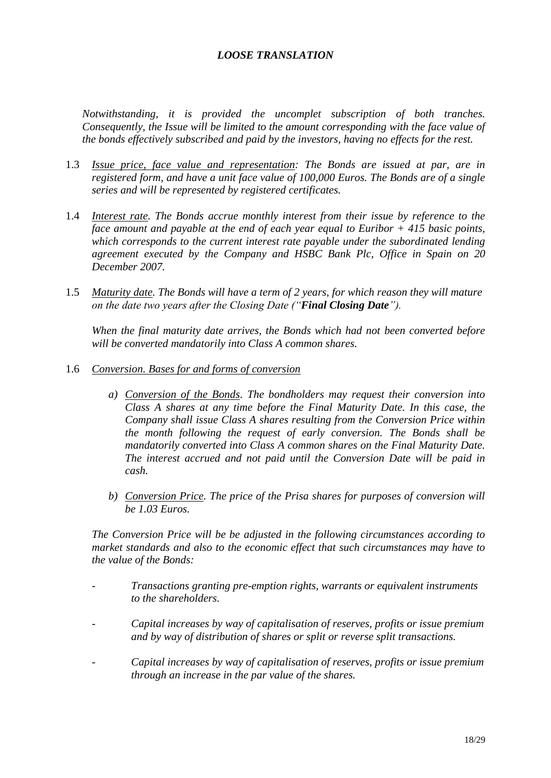*Notwithstanding, it is provided the uncomplet subscription of both tranches. Consequently, the Issue will be limited to the amount corresponding with the face value of the bonds effectively subscribed and paid by the investors, having no effects for the rest.*

- 1.3 *Issue price, face value and representation: The Bonds are issued at par, are in registered form, and have a unit face value of 100,000 Euros. The Bonds are of a single series and will be represented by registered certificates.*
- 1.4 *Interest rate. The Bonds accrue monthly interest from their issue by reference to the face amount and payable at the end of each year equal to Euribor + 415 basic points, which corresponds to the current interest rate payable under the subordinated lending agreement executed by the Company and HSBC Bank Plc, Office in Spain on 20 December 2007.*
- 1.5 *Maturity date. The Bonds will have a term of 2 years, for which reason they will mature on the date two years after the Closing Date ("Final Closing Date").*

*When the final maturity date arrives, the Bonds which had not been converted before will be converted mandatorily into Class A common shares.* 

- 1.6 *Conversion. Bases for and forms of conversion*
	- *a) Conversion of the Bonds. The bondholders may request their conversion into Class A shares at any time before the Final Maturity Date. In this case, the Company shall issue Class A shares resulting from the Conversion Price within the month following the request of early conversion. The Bonds shall be mandatorily converted into Class A common shares on the Final Maturity Date. The interest accrued and not paid until the Conversion Date will be paid in cash.*
	- *b) Conversion Price. The price of the Prisa shares for purposes of conversion will be 1.03 Euros.*

*The Conversion Price will be be adjusted in the following circumstances according to market standards and also to the economic effect that such circumstances may have to the value of the Bonds:*

- *Transactions granting pre-emption rights, warrants or equivalent instruments to the shareholders.*
- *Capital increases by way of capitalisation of reserves, profits or issue premium and by way of distribution of shares or split or reverse split transactions.*
- *Capital increases by way of capitalisation of reserves, profits or issue premium through an increase in the par value of the shares.*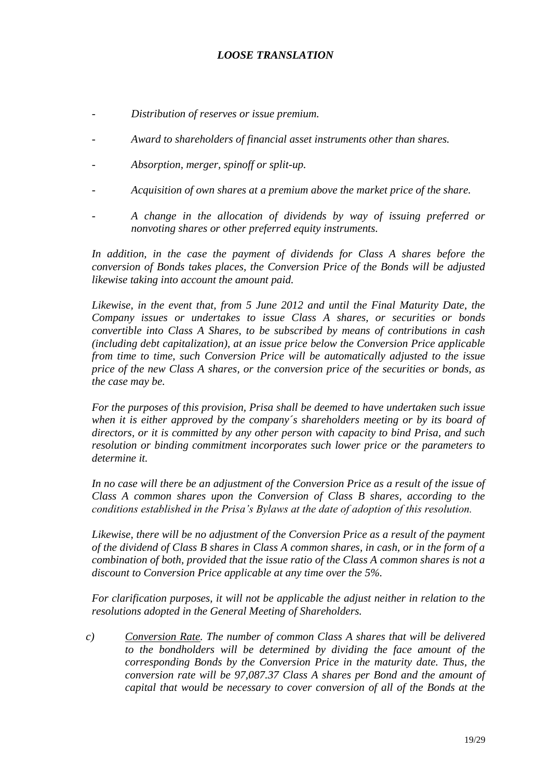- *Distribution of reserves or issue premium.*
- *Award to shareholders of financial asset instruments other than shares.*
- *Absorption, merger, spinoff or split-up.*
- *Acquisition of own shares at a premium above the market price of the share.*
- *A change in the allocation of dividends by way of issuing preferred or nonvoting shares or other preferred equity instruments.*

In addition, in the case the payment of dividends for Class A shares before the *conversion of Bonds takes places, the Conversion Price of the Bonds will be adjusted likewise taking into account the amount paid.*

*Likewise, in the event that, from 5 June 2012 and until the Final Maturity Date, the Company issues or undertakes to issue Class A shares, or securities or bonds convertible into Class A Shares, to be subscribed by means of contributions in cash (including debt capitalization), at an issue price below the Conversion Price applicable from time to time, such Conversion Price will be automatically adjusted to the issue price of the new Class A shares, or the conversion price of the securities or bonds, as the case may be.*

*For the purposes of this provision, Prisa shall be deemed to have undertaken such issue when it is either approved by the company´s shareholders meeting or by its board of directors, or it is committed by any other person with capacity to bind Prisa, and such resolution or binding commitment incorporates such lower price or the parameters to determine it.* 

In no case will there be an adjustment of the Conversion Price as a result of the issue of *Class A common shares upon the Conversion of Class B shares, according to the conditions established in the Prisa's Bylaws at the date of adoption of this resolution.*

*Likewise, there will be no adjustment of the Conversion Price as a result of the payment of the dividend of Class B shares in Class A common shares, in cash, or in the form of a combination of both, provided that the issue ratio of the Class A common shares is not a discount to Conversion Price applicable at any time over the 5%.*

*For clarification purposes, it will not be applicable the adjust neither in relation to the resolutions adopted in the General Meeting of Shareholders.*

*c) Conversion Rate. The number of common Class A shares that will be delivered to the bondholders will be determined by dividing the face amount of the corresponding Bonds by the Conversion Price in the maturity date. Thus, the conversion rate will be 97,087.37 Class A shares per Bond and the amount of capital that would be necessary to cover conversion of all of the Bonds at the*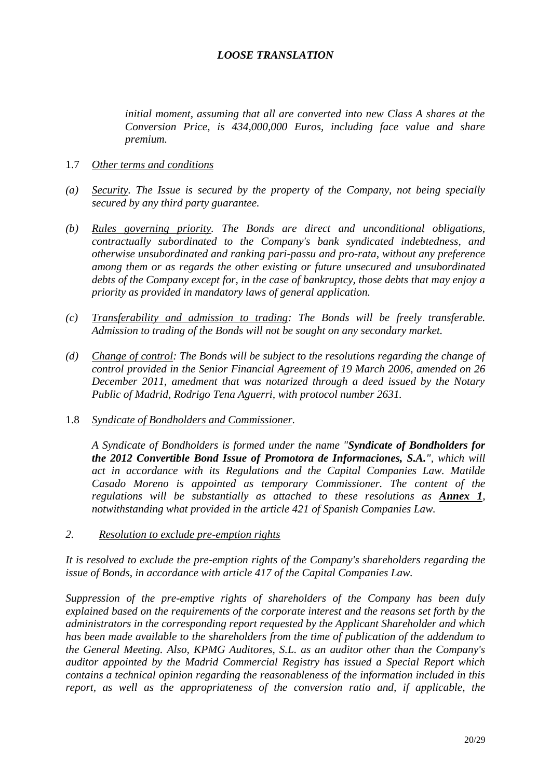*initial moment, assuming that all are converted into new Class A shares at the Conversion Price, is 434,000,000 Euros, including face value and share premium.*

- 1.7 *Other terms and conditions*
- *(a) Security. The Issue is secured by the property of the Company, not being specially secured by any third party guarantee.*
- *(b) Rules governing priority. The Bonds are direct and unconditional obligations, contractually subordinated to the Company's bank syndicated indebtedness, and otherwise unsubordinated and ranking pari-passu and pro-rata, without any preference among them or as regards the other existing or future unsecured and unsubordinated debts of the Company except for, in the case of bankruptcy, those debts that may enjoy a priority as provided in mandatory laws of general application.*
- *(c) Transferability and admission to trading: The Bonds will be freely transferable. Admission to trading of the Bonds will not be sought on any secondary market.*
- *(d) Change of control: The Bonds will be subject to the resolutions regarding the change of control provided in the Senior Financial Agreement of 19 March 2006, amended on 26 December 2011, amedment that was notarized through a deed issued by the Notary Public of Madrid, Rodrigo Tena Aguerri, with protocol number 2631.*
- 1.8 *Syndicate of Bondholders and Commissioner.*

*A Syndicate of Bondholders is formed under the name "Syndicate of Bondholders for the 2012 Convertible Bond Issue of Promotora de Informaciones, S.A.", which will act in accordance with its Regulations and the Capital Companies Law. Matilde Casado Moreno is appointed as temporary Commissioner. The content of the regulations will be substantially as attached to these resolutions as Annex 1, notwithstanding what provided in the article 421 of Spanish Companies Law.*

*2. Resolution to exclude pre-emption rights*

*It is resolved to exclude the pre-emption rights of the Company's shareholders regarding the issue of Bonds, in accordance with article 417 of the Capital Companies Law.*

*Suppression of the pre-emptive rights of shareholders of the Company has been duly explained based on the requirements of the corporate interest and the reasons set forth by the administrators in the corresponding report requested by the Applicant Shareholder and which has been made available to the shareholders from the time of publication of the addendum to the General Meeting. Also, KPMG Auditores, S.L. as an auditor other than the Company's auditor appointed by the Madrid Commercial Registry has issued a Special Report which contains a technical opinion regarding the reasonableness of the information included in this report, as well as the appropriateness of the conversion ratio and, if applicable, the*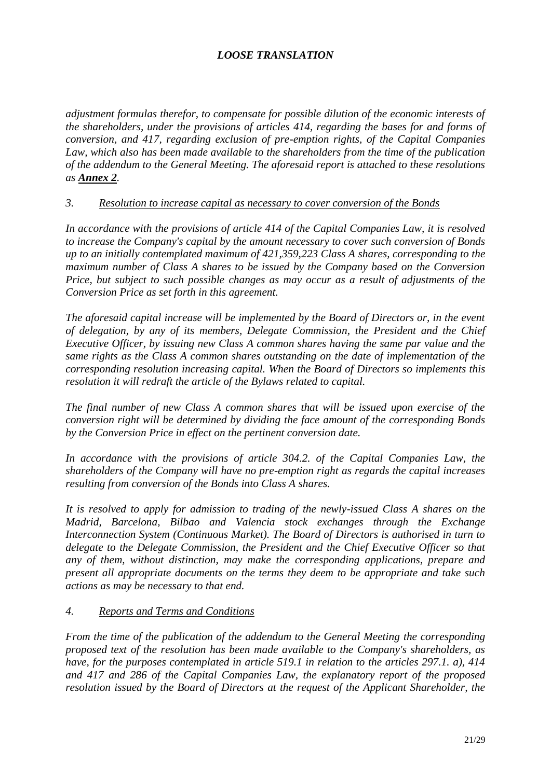*adjustment formulas therefor, to compensate for possible dilution of the economic interests of the shareholders, under the provisions of articles 414, regarding the bases for and forms of conversion, and 417, regarding exclusion of pre-emption rights, of the Capital Companies Law, which also has been made available to the shareholders from the time of the publication of the addendum to the General Meeting. The aforesaid report is attached to these resolutions as Annex 2.*

## *3. Resolution to increase capital as necessary to cover conversion of the Bonds*

*In accordance with the provisions of article 414 of the Capital Companies Law, it is resolved to increase the Company's capital by the amount necessary to cover such conversion of Bonds up to an initially contemplated maximum of 421,359,223 Class A shares, corresponding to the maximum number of Class A shares to be issued by the Company based on the Conversion Price, but subject to such possible changes as may occur as a result of adjustments of the Conversion Price as set forth in this agreement.*

*The aforesaid capital increase will be implemented by the Board of Directors or, in the event of delegation, by any of its members, Delegate Commission, the President and the Chief Executive Officer, by issuing new Class A common shares having the same par value and the same rights as the Class A common shares outstanding on the date of implementation of the corresponding resolution increasing capital. When the Board of Directors so implements this resolution it will redraft the article of the Bylaws related to capital.*

*The final number of new Class A common shares that will be issued upon exercise of the conversion right will be determined by dividing the face amount of the corresponding Bonds by the Conversion Price in effect on the pertinent conversion date.*

In accordance with the provisions of article 304.2. of the Capital Companies Law, the *shareholders of the Company will have no pre-emption right as regards the capital increases resulting from conversion of the Bonds into Class A shares.*

*It is resolved to apply for admission to trading of the newly-issued Class A shares on the Madrid, Barcelona, Bilbao and Valencia stock exchanges through the Exchange Interconnection System (Continuous Market). The Board of Directors is authorised in turn to delegate to the Delegate Commission, the President and the Chief Executive Officer so that any of them, without distinction, may make the corresponding applications, prepare and present all appropriate documents on the terms they deem to be appropriate and take such actions as may be necessary to that end.*

## *4. Reports and Terms and Conditions*

*From the time of the publication of the addendum to the General Meeting the corresponding proposed text of the resolution has been made available to the Company's shareholders, as have, for the purposes contemplated in article 519.1 in relation to the articles 297.1. a), 414 and 417 and 286 of the Capital Companies Law, the explanatory report of the proposed resolution issued by the Board of Directors at the request of the Applicant Shareholder, the*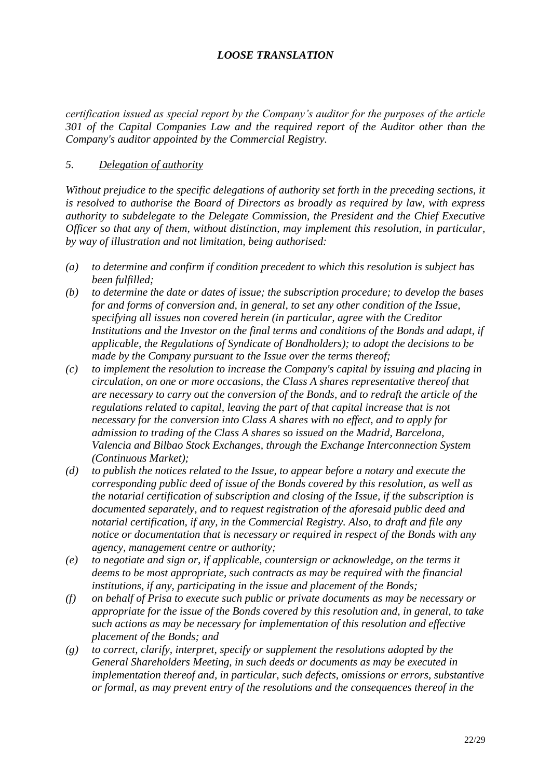*certification issued as special report by the Company's auditor for the purposes of the article 301 of the Capital Companies Law and the required report of the Auditor other than the Company's auditor appointed by the Commercial Registry.*

#### *5. Delegation of authority*

*Without prejudice to the specific delegations of authority set forth in the preceding sections, it is resolved to authorise the Board of Directors as broadly as required by law, with express authority to subdelegate to the Delegate Commission, the President and the Chief Executive Officer so that any of them, without distinction, may implement this resolution, in particular, by way of illustration and not limitation, being authorised:*

- *(a) to determine and confirm if condition precedent to which this resolution is subject has been fulfilled;*
- *(b) to determine the date or dates of issue; the subscription procedure; to develop the bases for and forms of conversion and, in general, to set any other condition of the Issue, specifying all issues non covered herein (in particular, agree with the Creditor Institutions and the Investor on the final terms and conditions of the Bonds and adapt, if applicable, the Regulations of Syndicate of Bondholders); to adopt the decisions to be made by the Company pursuant to the Issue over the terms thereof;*
- *(c) to implement the resolution to increase the Company's capital by issuing and placing in circulation, on one or more occasions, the Class A shares representative thereof that are necessary to carry out the conversion of the Bonds, and to redraft the article of the regulations related to capital, leaving the part of that capital increase that is not necessary for the conversion into Class A shares with no effect, and to apply for admission to trading of the Class A shares so issued on the Madrid, Barcelona, Valencia and Bilbao Stock Exchanges, through the Exchange Interconnection System (Continuous Market);*
- *(d) to publish the notices related to the Issue, to appear before a notary and execute the corresponding public deed of issue of the Bonds covered by this resolution, as well as the notarial certification of subscription and closing of the Issue, if the subscription is documented separately, and to request registration of the aforesaid public deed and notarial certification, if any, in the Commercial Registry. Also, to draft and file any notice or documentation that is necessary or required in respect of the Bonds with any agency, management centre or authority;*
- *(e) to negotiate and sign or, if applicable, countersign or acknowledge, on the terms it deems to be most appropriate, such contracts as may be required with the financial institutions, if any, participating in the issue and placement of the Bonds;*
- *(f) on behalf of Prisa to execute such public or private documents as may be necessary or appropriate for the issue of the Bonds covered by this resolution and, in general, to take such actions as may be necessary for implementation of this resolution and effective placement of the Bonds; and*
- *(g) to correct, clarify, interpret, specify or supplement the resolutions adopted by the General Shareholders Meeting, in such deeds or documents as may be executed in implementation thereof and, in particular, such defects, omissions or errors, substantive or formal, as may prevent entry of the resolutions and the consequences thereof in the*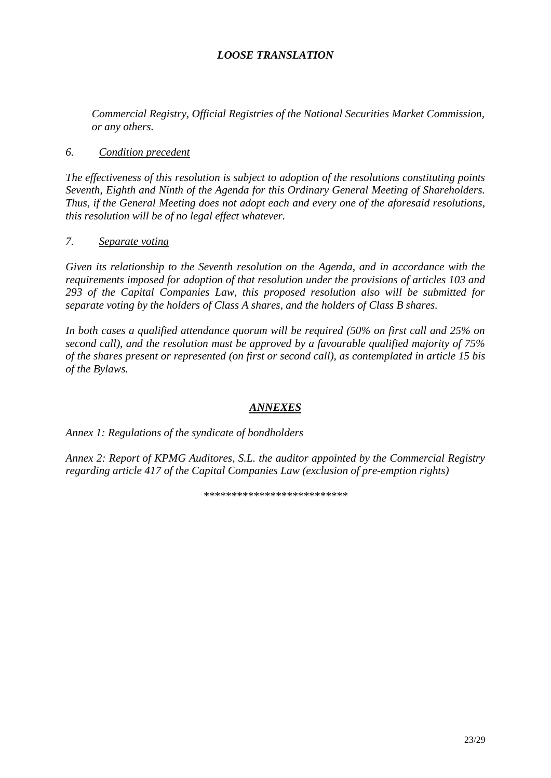Commercial Registry, Official Registries of the National Securities Market Commission, or any others.

#### 6. Condition precedent

The effectiveness of this resolution is subject to adoption of the resolutions constituting points Seventh, Eighth and Ninth of the Agenda for this Ordinary General Meeting of Shareholders. Thus, if the General Meeting does not adopt each and every one of the aforesaid resolutions, this resolution will be of no legal effect whatever.

#### $7.$ Separate voting

Given its relationship to the Seventh resolution on the Agenda, and in accordance with the requirements imposed for adoption of that resolution under the provisions of articles 103 and 293 of the Capital Companies Law, this proposed resolution also will be submitted for separate voting by the holders of Class A shares, and the holders of Class B shares.

In both cases a qualified attendance quorum will be required (50% on first call and 25% on second call), and the resolution must be approved by a favourable qualified majority of 75% of the shares present or represented (on first or second call), as contemplated in article 15 bis of the Bylaws.

## **ANNEXES**

Annex 1: Regulations of the syndicate of bondholders

Annex 2: Report of KPMG Auditores, S.L. the auditor appointed by the Commercial Registry regarding article 417 of the Capital Companies Law (exclusion of pre-emption rights)

\*\*\*\*\*\*\*\*\*\*\*\*\*\*\*\*\*\*\*\*\*\*\*\*\*\*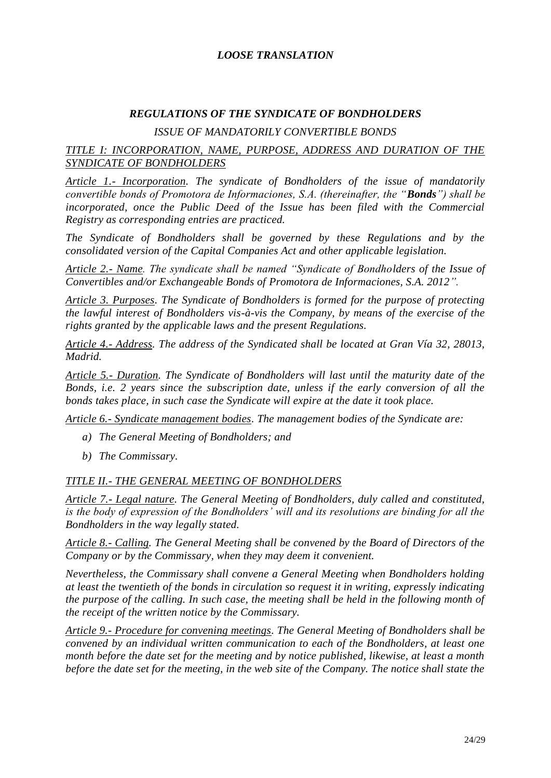#### *REGULATIONS OF THE SYNDICATE OF BONDHOLDERS*

### *ISSUE OF MANDATORILY CONVERTIBLE BONDS*

### *TITLE I: INCORPORATION, NAME, PURPOSE, ADDRESS AND DURATION OF THE SYNDICATE OF BONDHOLDERS*

*Article 1.- Incorporation. The syndicate of Bondholders of the issue of mandatorily convertible bonds of Promotora de Informaciones, S.A. (thereinafter, the "Bonds") shall be incorporated, once the Public Deed of the Issue has been filed with the Commercial Registry as corresponding entries are practiced.*

*The Syndicate of Bondholders shall be governed by these Regulations and by the consolidated version of the Capital Companies Act and other applicable legislation.*

*Article 2.- Name. The syndicate shall be named "Syndicate of Bondholders of the Issue of Convertibles and/or Exchangeable Bonds of Promotora de Informaciones, S.A. 2012".*

*Article 3. Purposes. The Syndicate of Bondholders is formed for the purpose of protecting the lawful interest of Bondholders vis-à-vis the Company, by means of the exercise of the rights granted by the applicable laws and the present Regulations.*

*Article 4.- Address. The address of the Syndicated shall be located at Gran Vía 32, 28013, Madrid.*

*Article 5.- Duration. The Syndicate of Bondholders will last until the maturity date of the Bonds, i.e. 2 years since the subscription date, unless if the early conversion of all the bonds takes place, in such case the Syndicate will expire at the date it took place.*

*Article 6.- Syndicate management bodies. The management bodies of the Syndicate are:*

- *a) The General Meeting of Bondholders; and*
- *b) The Commissary.*

#### *TITLE II.- THE GENERAL MEETING OF BONDHOLDERS*

*Article 7.- Legal nature. The General Meeting of Bondholders, duly called and constituted, is the body of expression of the Bondholders' will and its resolutions are binding for all the Bondholders in the way legally stated.*

*Article 8.- Calling. The General Meeting shall be convened by the Board of Directors of the Company or by the Commissary, when they may deem it convenient.* 

*Nevertheless, the Commissary shall convene a General Meeting when Bondholders holding at least the twentieth of the bonds in circulation so request it in writing, expressly indicating the purpose of the calling. In such case, the meeting shall be held in the following month of the receipt of the written notice by the Commissary.*

*Article 9.- Procedure for convening meetings. The General Meeting of Bondholders shall be convened by an individual written communication to each of the Bondholders, at least one month before the date set for the meeting and by notice published, likewise, at least a month before the date set for the meeting, in the web site of the Company. The notice shall state the*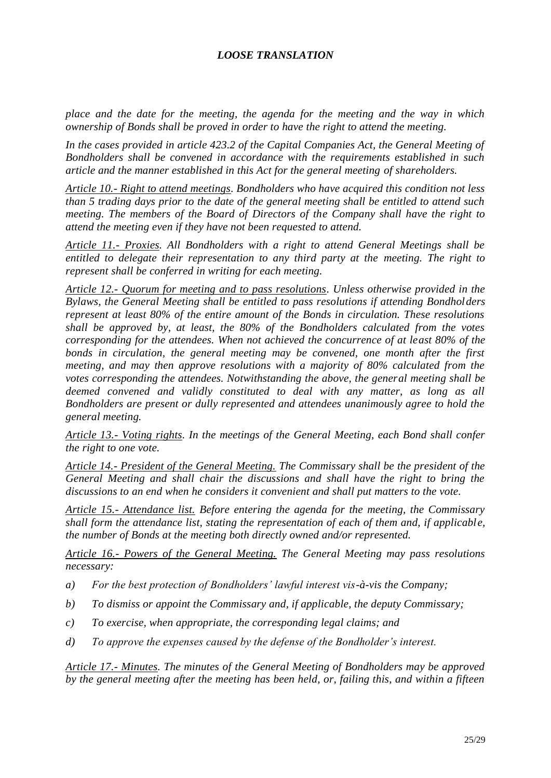*place and the date for the meeting, the agenda for the meeting and the way in which ownership of Bonds shall be proved in order to have the right to attend the meeting.*

*In the cases provided in article 423.2 of the Capital Companies Act, the General Meeting of Bondholders shall be convened in accordance with the requirements established in such article and the manner established in this Act for the general meeting of shareholders.*

*Article 10.- Right to attend meetings. Bondholders who have acquired this condition not less than 5 trading days prior to the date of the general meeting shall be entitled to attend such meeting. The members of the Board of Directors of the Company shall have the right to attend the meeting even if they have not been requested to attend.*

*Article 11.- Proxies. All Bondholders with a right to attend General Meetings shall be entitled to delegate their representation to any third party at the meeting. The right to represent shall be conferred in writing for each meeting.*

*Article 12.- Quorum for meeting and to pass resolutions. Unless otherwise provided in the Bylaws, the General Meeting shall be entitled to pass resolutions if attending Bondholders represent at least 80% of the entire amount of the Bonds in circulation. These resolutions shall be approved by, at least, the 80% of the Bondholders calculated from the votes corresponding for the attendees. When not achieved the concurrence of at least 80% of the bonds in circulation, the general meeting may be convened, one month after the first meeting, and may then approve resolutions with a majority of 80% calculated from the votes corresponding the attendees. Notwithstanding the above, the general meeting shall be deemed convened and validly constituted to deal with any matter, as long as all Bondholders are present or dully represented and attendees unanimously agree to hold the general meeting.*

*Article 13.- Voting rights. In the meetings of the General Meeting, each Bond shall confer the right to one vote.*

*Article 14.- President of the General Meeting. The Commissary shall be the president of the General Meeting and shall chair the discussions and shall have the right to bring the discussions to an end when he considers it convenient and shall put matters to the vote.*

*Article 15.- Attendance list. Before entering the agenda for the meeting, the Commissary shall form the attendance list, stating the representation of each of them and, if applicable, the number of Bonds at the meeting both directly owned and/or represented.*

*Article 16.- Powers of the General Meeting. The General Meeting may pass resolutions necessary:*

- *a) For the best protection of Bondholders' lawful interest vis-à-vis the Company;*
- *b) To dismiss or appoint the Commissary and, if applicable, the deputy Commissary;*
- *c) To exercise, when appropriate, the corresponding legal claims; and*
- *d) To approve the expenses caused by the defense of the Bondholder's interest.*

*Article 17.- Minutes. The minutes of the General Meeting of Bondholders may be approved by the general meeting after the meeting has been held, or, failing this, and within a fifteen*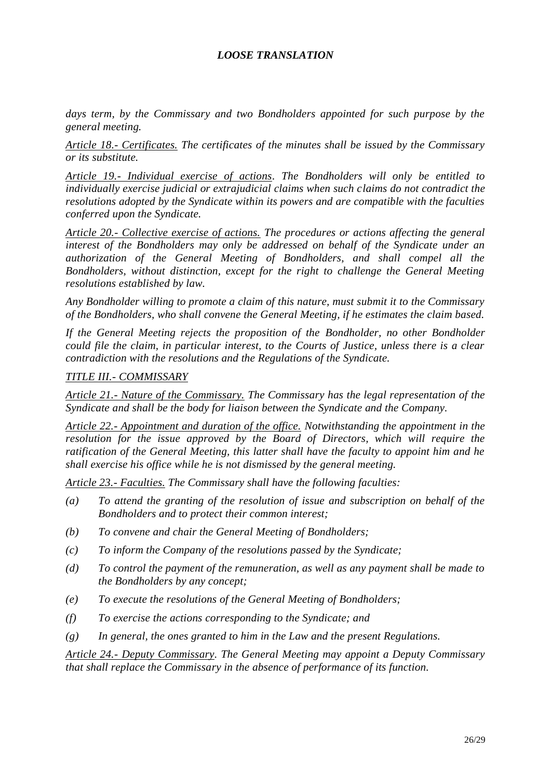*days term, by the Commissary and two Bondholders appointed for such purpose by the general meeting.*

*Article 18.- Certificates. The certificates of the minutes shall be issued by the Commissary or its substitute.*

*Article 19.- Individual exercise of actions. The Bondholders will only be entitled to individually exercise judicial or extrajudicial claims when such claims do not contradict the resolutions adopted by the Syndicate within its powers and are compatible with the faculties conferred upon the Syndicate.*

*Article 20.- Collective exercise of actions. The procedures or actions affecting the general interest of the Bondholders may only be addressed on behalf of the Syndicate under an authorization of the General Meeting of Bondholders, and shall compel all the Bondholders, without distinction, except for the right to challenge the General Meeting resolutions established by law.*

*Any Bondholder willing to promote a claim of this nature, must submit it to the Commissary of the Bondholders, who shall convene the General Meeting, if he estimates the claim based.*

*If the General Meeting rejects the proposition of the Bondholder, no other Bondholder could file the claim, in particular interest, to the Courts of Justice, unless there is a clear contradiction with the resolutions and the Regulations of the Syndicate.*

#### *TITLE III.- COMMISSARY*

*Article 21.- Nature of the Commissary. The Commissary has the legal representation of the Syndicate and shall be the body for liaison between the Syndicate and the Company.*

*Article 22.- Appointment and duration of the office. Notwithstanding the appointment in the resolution for the issue approved by the Board of Directors, which will require the ratification of the General Meeting, this latter shall have the faculty to appoint him and he shall exercise his office while he is not dismissed by the general meeting.*

*Article 23.- Faculties. The Commissary shall have the following faculties:*

- *(a) To attend the granting of the resolution of issue and subscription on behalf of the Bondholders and to protect their common interest;*
- *(b) To convene and chair the General Meeting of Bondholders;*
- *(c) To inform the Company of the resolutions passed by the Syndicate;*
- *(d) To control the payment of the remuneration, as well as any payment shall be made to the Bondholders by any concept;*
- *(e) To execute the resolutions of the General Meeting of Bondholders;*
- *(f) To exercise the actions corresponding to the Syndicate; and*
- *(g) In general, the ones granted to him in the Law and the present Regulations.*

*Article 24.- Deputy Commissary. The General Meeting may appoint a Deputy Commissary that shall replace the Commissary in the absence of performance of its function.*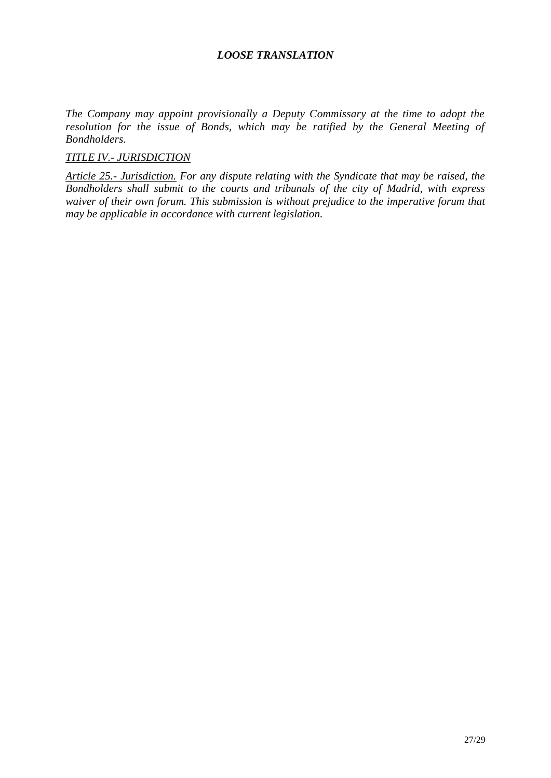*The Company may appoint provisionally a Deputy Commissary at the time to adopt the resolution for the issue of Bonds, which may be ratified by the General Meeting of Bondholders.*

## *TITLE IV.- JURISDICTION*

*Article 25.- Jurisdiction. For any dispute relating with the Syndicate that may be raised, the Bondholders shall submit to the courts and tribunals of the city of Madrid, with express waiver of their own forum. This submission is without prejudice to the imperative forum that may be applicable in accordance with current legislation.*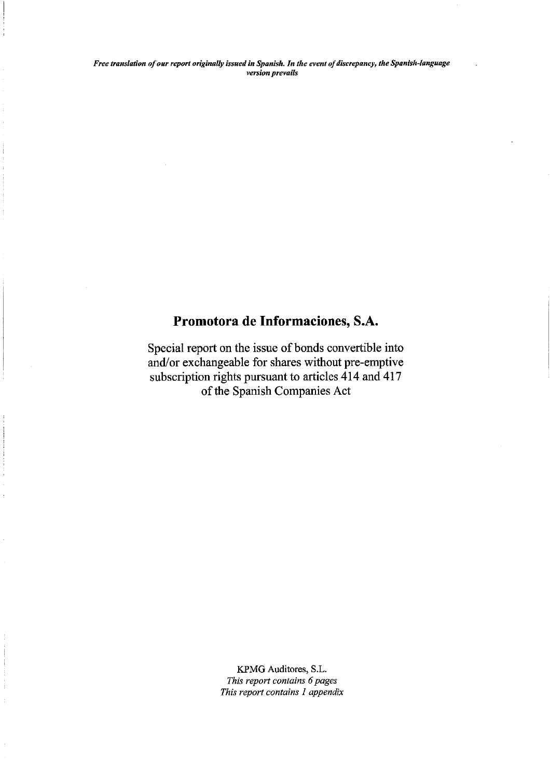# Promotora de Informaciones, S.A.

Special report on the issue of bonds convertible into and/or exchangeable for shares without pre-emptive subscription rights pursuant to articles 414 and 417 of the Spanish Companies Act

> KPMG Auditores, S.L. This report contains 6 pages This report contains 1 appendix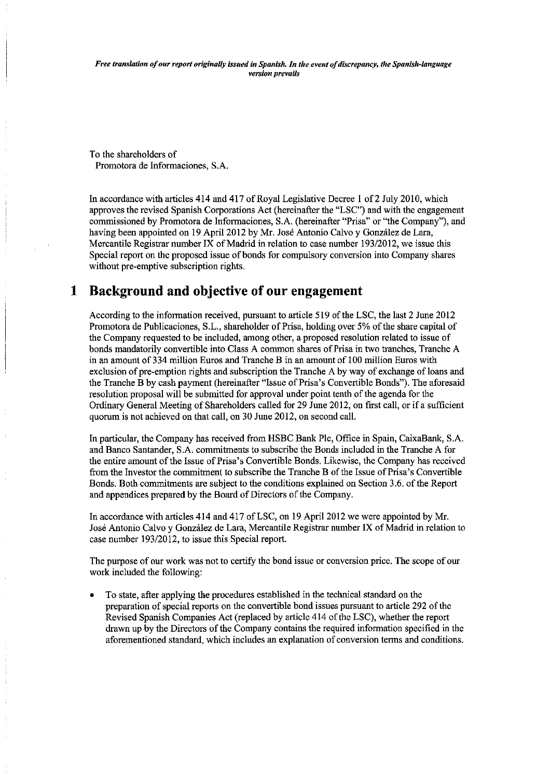To the shareholders of Promotora de Informaciones, S.A.

In accordance with articles 414 and 417 of Royal Legislative Decree 1 of 2 July 2010, which approves the revised Spanish Corporations Act (hereinafter the "LSC") and with the engagement commissioned by Promotora de Informaciones, S.A. (hereinafter "Prisa" or "the Company"), and having been appointed on 19 April 2012 by Mr. José Antonio Calvo y González de Lara, Mercantile Registrar number IX of Madrid in relation to case number 193/2012, we issue this Special report on the proposed issue of bonds for compulsory conversion into Company shares without pre-emptive subscription rights.

#### **Background and objective of our engagement**  $\mathbf 1$

According to the information received, pursuant to article 519 of the LSC, the last 2 June 2012 Promotora de Publicaciones, S.L., shareholder of Prisa, holding over 5% of the share capital of the Company requested to be included, among other, a proposed resolution related to issue of bonds mandatorily convertible into Class A common shares of Prisa in two tranches, Tranche A in an amount of 334 million Euros and Tranche B in an amount of 100 million Euros with exclusion of pre-emption rights and subscription the Tranche A by way of exchange of loans and the Tranche B by cash payment (hereinafter "Issue of Prisa's Convertible Bonds"). The aforesaid resolution proposal will be submitted for approval under point tenth of the agenda for the Ordinary General Meeting of Shareholders called for 29 June 2012, on first call, or if a sufficient quorum is not achieved on that call, on 30 June 2012, on second call.

In particular, the Company has received from HSBC Bank Plc, Office in Spain, CaixaBank, S.A. and Banco Santander, S.A. commitments to subscribe the Bonds included in the Tranche A for the entire amount of the Issue of Prisa's Convertible Bonds. Likewise, the Company has received from the Investor the commitment to subscribe the Tranche B of the Issue of Prisa's Convertible Bonds, Both commitments are subject to the conditions explained on Section 3.6, of the Report and appendices prepared by the Board of Directors of the Company.

In accordance with articles 414 and 417 of LSC, on 19 April 2012 we were appointed by Mr. José Antonio Calvo y González de Lara, Mercantile Registrar number IX of Madrid in relation to case number 193/2012, to issue this Special report.

The purpose of our work was not to certify the bond issue or conversion price. The scope of our work included the following:

To state, after applying the procedures established in the technical standard on the preparation of special reports on the convertible bond issues pursuant to article 292 of the Revised Spanish Companies Act (replaced by article 414 of the LSC), whether the report drawn up by the Directors of the Company contains the required information specified in the aforementioned standard, which includes an explanation of conversion terms and conditions.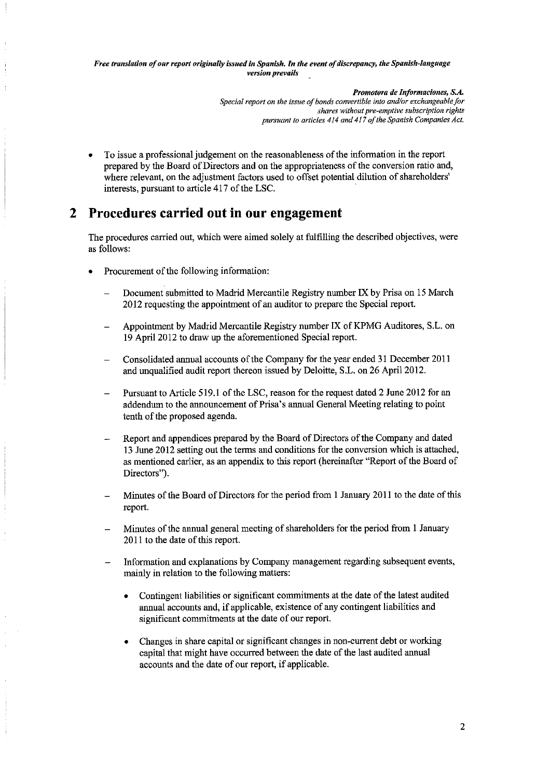> Promotora de Informaciones, S.A. Special report on the issue of bonds convertible into and/or exchangeable for shares without pre-emptive subscription rights pursuant to articles 414 and 417 of the Spanish Companies Act.

To issue a professional judgement on the reasonableness of the information in the report prepared by the Board of Directors and on the appropriateness of the conversion ratio and, where relevant, on the adjustment factors used to offset potential dilution of shareholders' interests, pursuant to article 417 of the LSC.

#### **Procedures carried out in our engagement**  $2<sup>1</sup>$

The procedures carried out, which were aimed solely at fulfilling the described objectives, were as follows:

- Procurement of the following information:
	- Document submitted to Madrid Mercantile Registry number IX by Prisa on 15 March 2012 requesting the appointment of an auditor to prepare the Special report.
	- Appointment by Madrid Mercantile Registry number IX of KPMG Auditores, S.L. on 19 April 2012 to draw up the aforementioned Special report.
	- Consolidated annual accounts of the Company for the year ended 31 December 2011 and unqualified audit report thereon issued by Deloitte, S.L. on 26 April 2012.
	- Pursuant to Article 519.1 of the LSC, reason for the request dated 2 June 2012 for an addendum to the announcement of Prisa's annual General Meeting relating to point tenth of the proposed agenda.
	- Report and appendices prepared by the Board of Directors of the Company and dated 13 June 2012 setting out the terms and conditions for the conversion which is attached, as mentioned earlier, as an appendix to this report (hereinafter "Report of the Board of Directors").
	- Minutes of the Board of Directors for the period from 1 January 2011 to the date of this report.
	- Minutes of the annual general meeting of shareholders for the period from 1 January 2011 to the date of this report.
	- Information and explanations by Company management regarding subsequent events, mainly in relation to the following matters:
		- Contingent liabilities or significant commitments at the date of the latest audited annual accounts and, if applicable, existence of any contingent liabilities and significant commitments at the date of our report.
		- Changes in share capital or significant changes in non-current debt or working capital that might have occurred between the date of the last audited annual accounts and the date of our report, if applicable.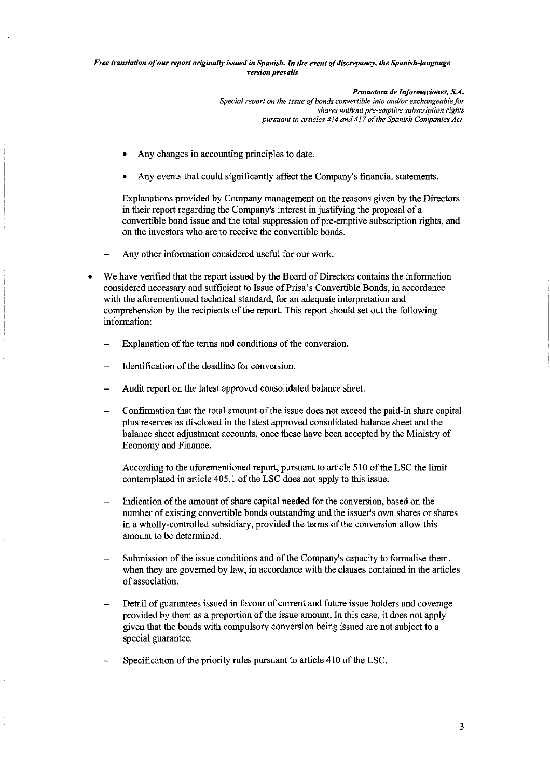> Promotora de Informaciones, S.A. Special report on the issue of bonds convertible into and/or exchangeable for shares without pre-emptive subscription rights pursuant to articles 414 and 417 of the Spanish Companies Act.

- Any changes in accounting principles to date.
- Any events that could significantly affect the Company's financial statements.
- Explanations provided by Company management on the reasons given by the Directors in their report regarding the Company's interest in justifying the proposal of a convertible bond issue and the total suppression of pre-emptive subscription rights, and on the investors who are to receive the convertible bonds.
- Any other information considered useful for our work.
- We have verified that the report issued by the Board of Directors contains the information considered necessary and sufficient to Issue of Prisa's Convertible Bonds, in accordance with the aforementioned technical standard, for an adequate interpretation and comprehension by the recipients of the report. This report should set out the following information:
	- Explanation of the terms and conditions of the conversion.
	- Identification of the deadline for conversion.
	- Audit report on the latest approved consolidated balance sheet.
	- Confirmation that the total amount of the issue does not exceed the paid-in share capital plus reserves as disclosed in the latest approved consolidated balance sheet and the balance sheet adjustment accounts, once these have been accepted by the Ministry of Economy and Finance.

According to the aforementioned report, pursuant to article 510 of the LSC the limit contemplated in article 405.1 of the LSC does not apply to this issue.

- Indication of the amount of share capital needed for the conversion, based on the number of existing convertible bonds outstanding and the issuer's own shares or shares in a wholly-controlled subsidiary, provided the terms of the conversion allow this amount to be determined.
- Submission of the issue conditions and of the Company's capacity to formalise them, when they are governed by law, in accordance with the clauses contained in the articles of association.
- Detail of guarantees issued in favour of current and future issue holders and coverage provided by them as a proportion of the issue amount. In this case, it does not apply given that the bonds with compulsory conversion being issued are not subject to a special guarantee.
- Specification of the priority rules pursuant to article 410 of the LSC.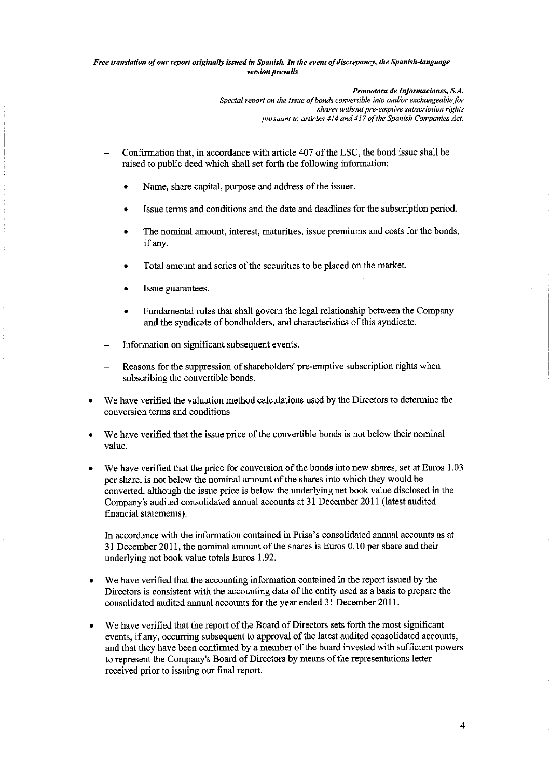Promotora de Informaciones, S.A.

Special report on the issue of bonds convertible into and/or exchangeable for shares without pre-emptive subscription rights pursuant to articles 414 and 417 of the Spanish Companies Act.

- Confirmation that, in accordance with article 407 of the LSC, the bond issue shall be raised to public deed which shall set forth the following information:
	- Name, share capital, purpose and address of the issuer.
	- Issue terms and conditions and the date and deadlines for the subscription period.
	- The nominal amount, interest, maturities, issue premiums and costs for the bonds, if any.
	- Total amount and series of the securities to be placed on the market.
	- Issue guarantees.
	- Fundamental rules that shall govern the legal relationship between the Company and the syndicate of bondholders, and characteristics of this syndicate.
- Information on significant subsequent events.
- Reasons for the suppression of shareholders' pre-emptive subscription rights when subscribing the convertible bonds.
- We have verified the valuation method calculations used by the Directors to determine the conversion terms and conditions.
- We have verified that the issue price of the convertible bonds is not below their nominal value.
- We have verified that the price for conversion of the bonds into new shares, set at Euros 1.03 per share, is not below the nominal amount of the shares into which they would be converted, although the issue price is below the underlying net book value disclosed in the Company's audited consolidated annual accounts at 31 December 2011 (latest audited financial statements).

In accordance with the information contained in Prisa's consolidated annual accounts as at 31 December 2011, the nominal amount of the shares is Euros 0.10 per share and their underlying net book value totals Euros 1.92.

- We have verified that the accounting information contained in the report issued by the Directors is consistent with the accounting data of the entity used as a basis to prepare the consolidated audited annual accounts for the year ended 31 December 2011.
- We have verified that the report of the Board of Directors sets forth the most significant events, if any, occurring subsequent to approval of the latest audited consolidated accounts, and that they have been confirmed by a member of the board invested with sufficient powers to represent the Company's Board of Directors by means of the representations letter received prior to issuing our final report.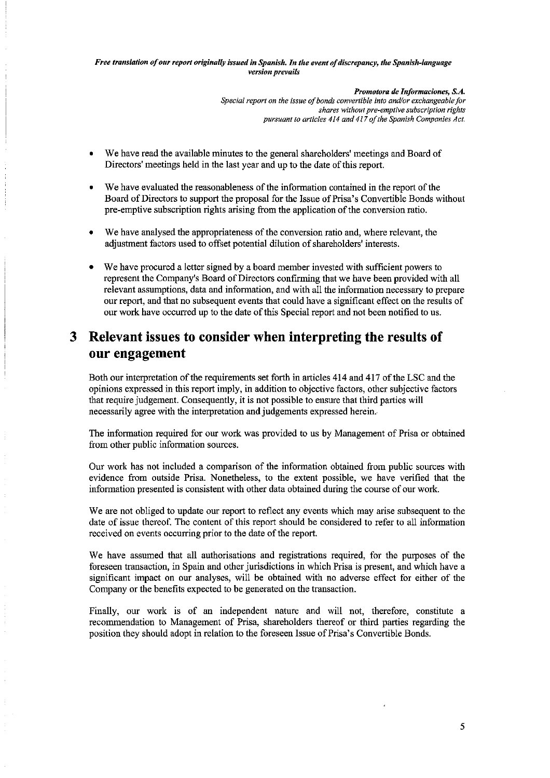> Promotora de Informaciones, S.A. Special report on the issue of bonds convertible into and/or exchangeable for shares without pre-emptive subscription rights pursuant to articles 414 and 417 of the Spanish Companies Act.

- We have read the available minutes to the general shareholders' meetings and Board of Directors' meetings held in the last year and up to the date of this report.
- We have evaluated the reasonableness of the information contained in the report of the Board of Directors to support the proposal for the Issue of Prisa's Convertible Bonds without pre-emptive subscription rights arising from the application of the conversion ratio.
- We have analysed the appropriateness of the conversion ratio and, where relevant, the adjustment factors used to offset potential dilution of shareholders' interests.
- We have procured a letter signed by a board member invested with sufficient powers to represent the Company's Board of Directors confirming that we have been provided with all relevant assumptions, data and information, and with all the information necessary to prepare our report, and that no subsequent events that could have a significant effect on the results of our work have occurred up to the date of this Special report and not been notified to us.

#### Relevant issues to consider when interpreting the results of  $3<sup>1</sup>$ our engagement

Both our interpretation of the requirements set forth in articles 414 and 417 of the LSC and the opinions expressed in this report imply, in addition to objective factors, other subjective factors that require judgement. Consequently, it is not possible to ensure that third parties will necessarily agree with the interpretation and judgements expressed herein.

The information required for our work was provided to us by Management of Prisa or obtained from other public information sources.

Our work has not included a comparison of the information obtained from public sources with evidence from outside Prisa. Nonetheless, to the extent possible, we have verified that the information presented is consistent with other data obtained during the course of our work.

We are not obliged to update our report to reflect any events which may arise subsequent to the date of issue thereof. The content of this report should be considered to refer to all information received on events occurring prior to the date of the report.

We have assumed that all authorisations and registrations required, for the purposes of the foreseen transaction, in Spain and other jurisdictions in which Prisa is present, and which have a significant impact on our analyses, will be obtained with no adverse effect for either of the Company or the benefits expected to be generated on the transaction.

Finally, our work is of an independent nature and will not, therefore, constitute a recommendation to Management of Prisa, shareholders thereof or third parties regarding the position they should adopt in relation to the foreseen Issue of Prisa's Convertible Bonds.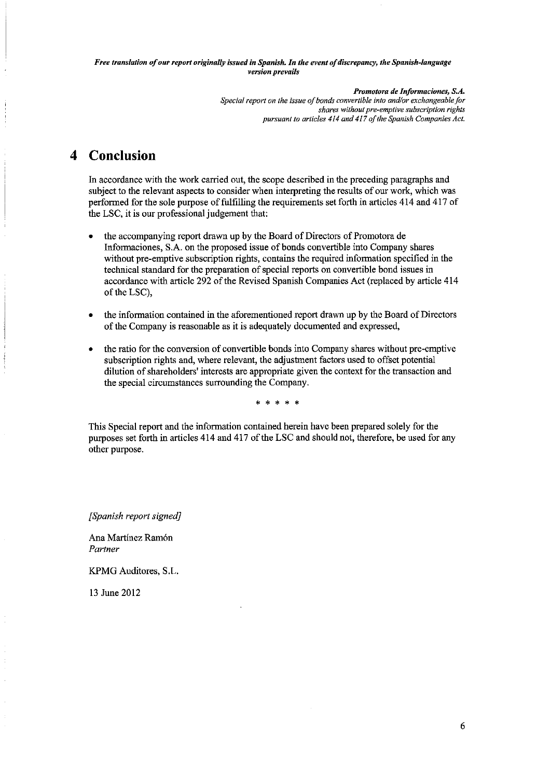Promotora de Informaciones, S.A.

Special report on the issue of bonds convertible into and/or exchangeable for shares without pre-emptive subscription rights pursuant to articles 414 and 417 of the Spanish Companies Act.

#### **Conclusion**  $\blacktriangle$

In accordance with the work carried out, the scope described in the preceding paragraphs and subject to the relevant aspects to consider when interpreting the results of our work, which was performed for the sole purpose of fulfilling the requirements set forth in articles 414 and 417 of the LSC, it is our professional judgement that:

- the accompanying report drawn up by the Board of Directors of Promotora de Informaciones, S.A. on the proposed issue of bonds convertible into Company shares without pre-emptive subscription rights, contains the required information specified in the technical standard for the preparation of special reports on convertible bond issues in accordance with article 292 of the Revised Spanish Companies Act (replaced by article 414 of the LSC).
- the information contained in the aforementioned report drawn up by the Board of Directors of the Company is reasonable as it is adequately documented and expressed,
- the ratio for the conversion of convertible bonds into Company shares without pre-emptive subscription rights and, where relevant, the adjustment factors used to offset potential dilution of shareholders' interests are appropriate given the context for the transaction and the special circumstances surrounding the Company.

This Special report and the information contained herein have been prepared solely for the purposes set forth in articles 414 and 417 of the LSC and should not, therefore, be used for any other purpose.

[Spanish report signed]

Ana Martínez Ramón Partner

KPMG Auditores, S.L.

13 June 2012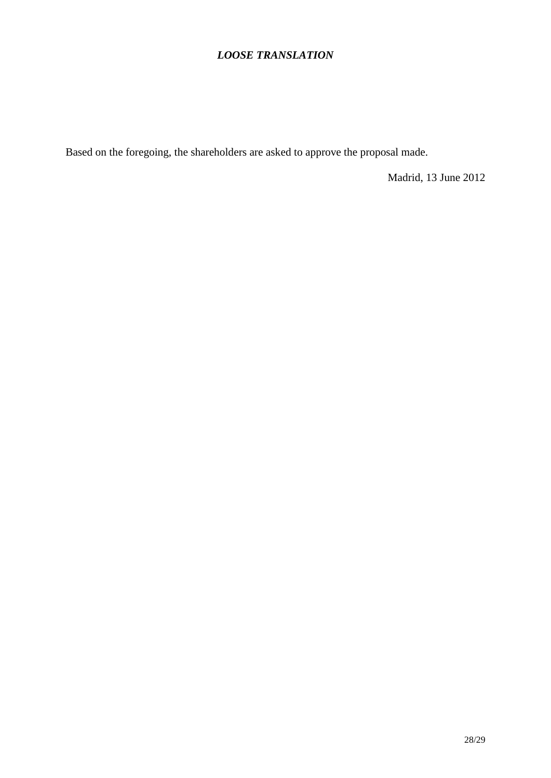Based on the foregoing, the shareholders are asked to approve the proposal made.

Madrid, 13 June 2012